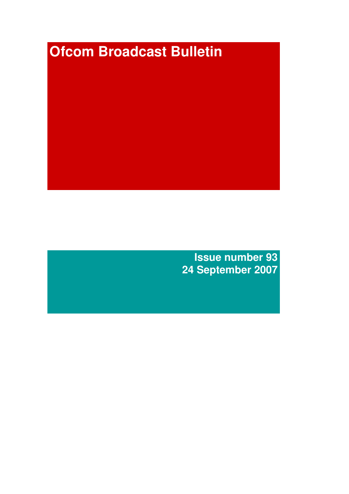# **Ofcom Broadcast Bulletin**

**Issue number 93 24 September 2007**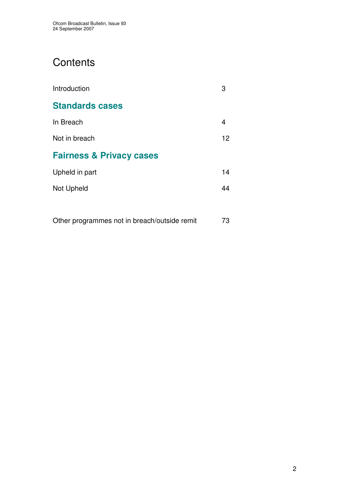# **Contents**

| Introduction                        | 3  |
|-------------------------------------|----|
| <b>Standards cases</b>              |    |
| In Breach                           | 4  |
| Not in breach                       | 12 |
| <b>Fairness &amp; Privacy cases</b> |    |
| Upheld in part                      | 14 |
| Not Upheld                          | 44 |
|                                     |    |

Other programmes not in breach/outside remit 73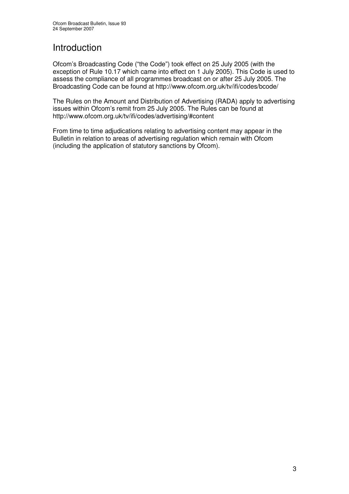# **Introduction**

Ofcom's Broadcasting Code ("the Code") took effect on 25 July 2005 (with the exception of Rule 10.17 which came into effect on 1 July 2005). This Code is used to assess the compliance of all programmes broadcast on or after 25 July 2005. The Broadcasting Code can be found at http://www.ofcom.org.uk/tv/ifi/codes/bcode/

The Rules on the Amount and Distribution of Advertising (RADA) apply to advertising issues within Ofcom's remit from 25 July 2005. The Rules can be found at http://www.ofcom.org.uk/tv/ifi/codes/advertising/#content

From time to time adjudications relating to advertising content may appear in the Bulletin in relation to areas of advertising regulation which remain with Ofcom (including the application of statutory sanctions by Ofcom).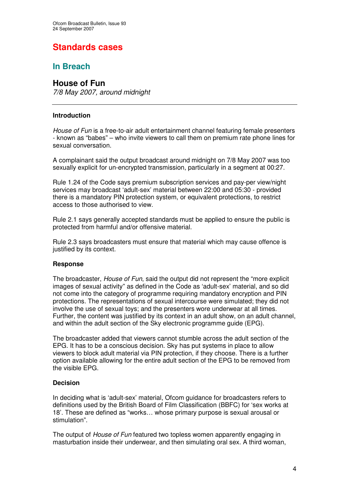# **Standards cases**

# **In Breach**

# **House of Fun**

*7/8 May 2007, around midnight*

# **Introduction**

*House of Fun* is a free-to-air adult entertainment channel featuring female presenters - known as "babes" – who invite viewers to call them on premium rate phone lines for sexual conversation.

A complainant said the output broadcast around midnight on 7/8 May 2007 was too sexually explicit for un-encrypted transmission, particularly in a segment at 00:27.

Rule 1.24 of the Code says premium subscription services and pay-per view/night services may broadcast 'adult-sex' material between 22:00 and 05:30 - provided there is a mandatory PIN protection system, or equivalent protections, to restrict access to those authorised to view.

Rule 2.1 says generally accepted standards must be applied to ensure the public is protected from harmful and/or offensive material.

Rule 2.3 says broadcasters must ensure that material which may cause offence is justified by its context.

# **Response**

The broadcaster, *House of Fun*, said the output did not represent the "more explicit images of sexual activity" as defined in the Code as 'adult-sex' material, and so did not come into the category of programme requiring mandatory encryption and PIN protections. The representations of sexual intercourse were simulated; they did not involve the use of sexual toys; and the presenters wore underwear at all times. Further, the content was justified by its context in an adult show, on an adult channel, and within the adult section of the Sky electronic programme guide (EPG).

The broadcaster added that viewers cannot stumble across the adult section of the EPG. It has to be a conscious decision. Sky has put systems in place to allow viewers to block adult material via PIN protection, if they choose. There is a further option available allowing for the entire adult section of the EPG to be removed from the visible EPG.

# **Decision**

In deciding what is 'adult-sex' material, Ofcom guidance for broadcasters refers to definitions used by the British Board of Film Classification (BBFC) for 'sex works at 18'. These are defined as "works… whose primary purpose is sexual arousal or stimulation".

The output of *House of Fun* featured two topless women apparently engaging in masturbation inside their underwear, and then simulating oral sex. A third woman,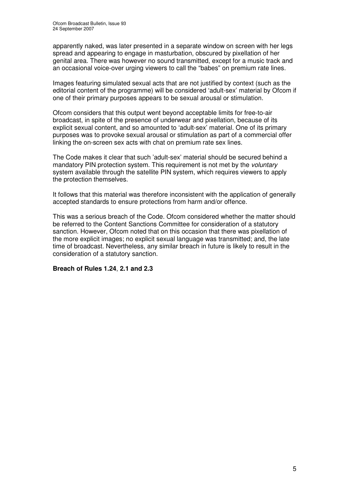apparently naked, was later presented in a separate window on screen with her legs spread and appearing to engage in masturbation, obscured by pixellation of her genital area. There was however no sound transmitted, except for a music track and an occasional voice-over urging viewers to call the "babes" on premium rate lines.

Images featuring simulated sexual acts that are not justified by context (such as the editorial content of the programme) will be considered 'adult-sex' material by Ofcom if one of their primary purposes appears to be sexual arousal or stimulation.

Ofcom considers that this output went beyond acceptable limits for free-to-air broadcast, in spite of the presence of underwear and pixellation, because of its explicit sexual content, and so amounted to 'adult-sex' material. One of its primary purposes was to provoke sexual arousal or stimulation as part of a commercial offer linking the on-screen sex acts with chat on premium rate sex lines.

The Code makes it clear that such 'adult-sex' material should be secured behind a mandatory PIN protection system. This requirement is not met by the *voluntary* system available through the satellite PIN system, which requires viewers to apply the protection themselves.

It follows that this material was therefore inconsistent with the application of generally accepted standards to ensure protections from harm and/or offence.

This was a serious breach of the Code. Ofcom considered whether the matter should be referred to the Content Sanctions Committee for consideration of a statutory sanction. However, Ofcom noted that on this occasion that there was pixellation of the more explicit images; no explicit sexual language was transmitted; and, the late time of broadcast. Nevertheless, any similar breach in future is likely to result in the consideration of a statutory sanction.

# **Breach of Rules 1.24**, **2.1 and 2.3**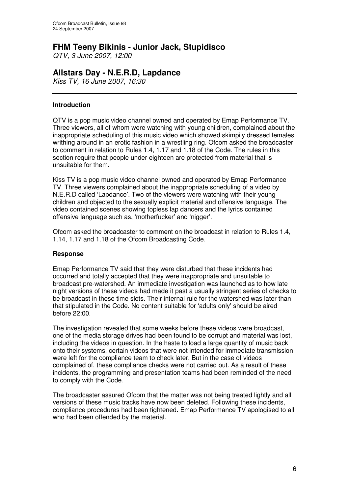# **FHM Teeny Bikinis - Junior Jack, Stupidisco**

*QTV, 3 June 2007, 12:00*

# **Allstars Day - N.E.R.D, Lapdance**

*Kiss TV, 16 June 2007, 16:30*

# **Introduction**

QTV is a pop music video channel owned and operated by Emap Performance TV. Three viewers, all of whom were watching with young children, complained about the inappropriate scheduling of this music video which showed skimpily dressed females writhing around in an erotic fashion in a wrestling ring. Ofcom asked the broadcaster to comment in relation to Rules 1.4, 1.17 and 1.18 of the Code. The rules in this section require that people under eighteen are protected from material that is unsuitable for them.

Kiss TV is a pop music video channel owned and operated by Emap Performance TV. Three viewers complained about the inappropriate scheduling of a video by N.E.R.D called 'Lapdance'. Two of the viewers were watching with their young children and objected to the sexually explicit material and offensive language. The video contained scenes showing topless lap dancers and the lyrics contained offensive language such as, 'motherfucker' and 'nigger'.

Ofcom asked the broadcaster to comment on the broadcast in relation to Rules 1.4, 1.14, 1.17 and 1.18 of the Ofcom Broadcasting Code.

# **Response**

Emap Performance TV said that they were disturbed that these incidents had occurred and totally accepted that they were inappropriate and unsuitable to broadcast pre-watershed. An immediate investigation was launched as to how late night versions of these videos had made it past a usually stringent series of checks to be broadcast in these time slots. Their internal rule for the watershed was later than that stipulated in the Code. No content suitable for 'adults only' should be aired before 22:00.

The investigation revealed that some weeks before these videos were broadcast, one of the media storage drives had been found to be corrupt and material was lost, including the videos in question. In the haste to load a large quantity of music back onto their systems, certain videos that were not intended for immediate transmission were left for the compliance team to check later. But in the case of videos complained of, these compliance checks were not carried out. As a result of these incidents, the programming and presentation teams had been reminded of the need to comply with the Code.

The broadcaster assured Ofcom that the matter was not being treated lightly and all versions of these music tracks have now been deleted. Following these incidents, compliance procedures had been tightened. Emap Performance TV apologised to all who had been offended by the material.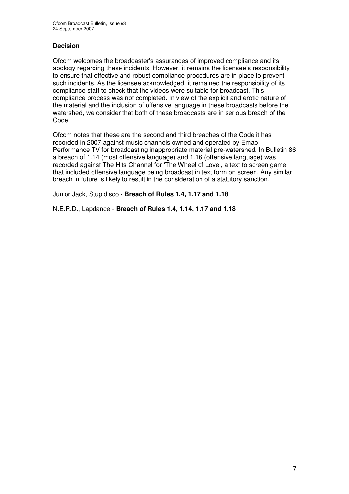# **Decision**

Ofcom welcomes the broadcaster's assurances of improved compliance and its apology regarding these incidents. However, it remains the licensee's responsibility to ensure that effective and robust compliance procedures are in place to prevent such incidents. As the licensee acknowledged, it remained the responsibility of its compliance staff to check that the videos were suitable for broadcast. This compliance process was not completed. In view of the explicit and erotic nature of the material and the inclusion of offensive language in these broadcasts before the watershed, we consider that both of these broadcasts are in serious breach of the Code.

Ofcom notes that these are the second and third breaches of the Code it has recorded in 2007 against music channels owned and operated by Emap Performance TV for broadcasting inappropriate material pre-watershed. In Bulletin 86 a breach of 1.14 (most offensive language) and 1.16 (offensive language) was recorded against The Hits Channel for 'The Wheel of Love', a text to screen game that included offensive language being broadcast in text form on screen. Any similar breach in future is likely to result in the consideration of a statutory sanction.

Junior Jack, Stupidisco - **Breach of Rules 1.4, 1.17 and 1.18**

N.E.R.D., Lapdance - **Breach of Rules 1.4, 1.14, 1.17 and 1.18**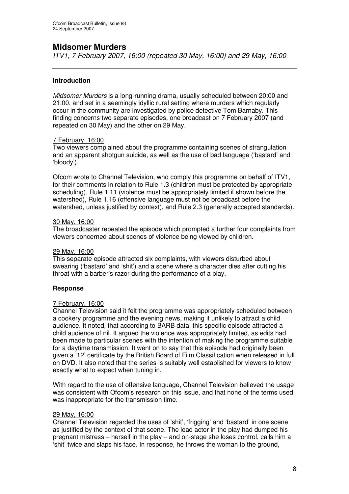# **Midsomer Murders**

*ITV1, 7 February 2007, 16:00 (repeated 30 May, 16:00) and 29 May, 16:00*

# **Introduction**

*Midsomer Murders* is a long-running drama, usually scheduled between 20:00 and 21:00, and set in a seemingly idyllic rural setting where murders which regularly occur in the community are investigated by police detective Tom Barnaby. This finding concerns two separate episodes, one broadcast on 7 February 2007 (and repeated on 30 May) and the other on 29 May.

# 7 February, 16:00

Two viewers complained about the programme containing scenes of strangulation and an apparent shotgun suicide, as well as the use of bad language ('bastard' and 'bloody').

Ofcom wrote to Channel Television, who comply this programme on behalf of ITV1, for their comments in relation to Rule 1.3 (children must be protected by appropriate scheduling), Rule 1.11 (violence must be appropriately limited if shown before the watershed), Rule 1.16 (offensive language must not be broadcast before the watershed, unless justified by context), and Rule 2.3 (generally accepted standards).

### 30 May, 16:00

The broadcaster repeated the episode which prompted a further four complaints from viewers concerned about scenes of violence being viewed by children.

# 29 May, 16:00

This separate episode attracted six complaints, with viewers disturbed about swearing ('bastard' and 'shit') and a scene where a character dies after cutting his throat with a barber's razor during the performance of a play.

# **Response**

### 7 February, 16:00

Channel Television said it felt the programme was appropriately scheduled between a cookery programme and the evening news, making it unlikely to attract a child audience. It noted, that according to BARB data, this specific episode attracted a child audience of nil. It argued the violence was appropriately limited, as edits had been made to particular scenes with the intention of making the programme suitable for a daytime transmission. It went on to say that this episode had originally been given a '12' certificate by the British Board of Film Classification when released in full on DVD. It also noted that the series is suitably well established for viewers to know exactly what to expect when tuning in.

With regard to the use of offensive language, Channel Television believed the usage was consistent with Ofcom's research on this issue, and that none of the terms used was inappropriate for the transmission time.

### 29 May, 16:00

Channel Television regarded the uses of 'shit', 'frigging' and 'bastard' in one scene as justified by the context of that scene. The lead actor in the play had dumped his pregnant mistress – herself in the play – and on-stage she loses control, calls him a 'shit' twice and slaps his face. In response, he throws the woman to the ground,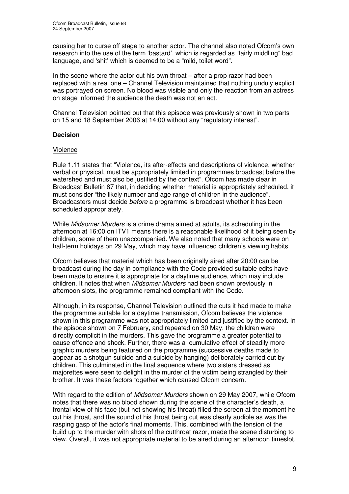causing her to curse off stage to another actor. The channel also noted Ofcom's own research into the use of the term 'bastard', which is regarded as "fairly middling" bad language, and 'shit' which is deemed to be a "mild, toilet word".

In the scene where the actor cut his own throat – after a prop razor had been replaced with a real one – Channel Television maintained that nothing unduly explicit was portrayed on screen. No blood was visible and only the reaction from an actress on stage informed the audience the death was not an act.

Channel Television pointed out that this episode was previously shown in two parts on 15 and 18 September 2006 at 14:00 without any "regulatory interest".

# **Decision**

# Violence

Rule 1.11 states that "Violence, its after-effects and descriptions of violence, whether verbal or physical, must be appropriately limited in programmes broadcast before the watershed and must also be justified by the context". Ofcom has made clear in Broadcast Bulletin 87 that, in deciding whether material is appropriately scheduled, it must consider "the likely number and age range of children in the audience". Broadcasters must decide *before* a programme is broadcast whether it has been scheduled appropriately.

While *Midsomer Murders* is a crime drama aimed at adults, its scheduling in the afternoon at 16:00 on ITV1 means there is a reasonable likelihood of it being seen by children, some of them unaccompanied. We also noted that many schools were on half-term holidays on 29 May, which may have influenced children's viewing habits.

Ofcom believes that material which has been originally aired after 20:00 can be broadcast during the day in compliance with the Code provided suitable edits have been made to ensure it is appropriate for a daytime audience, which may include children. It notes that when *Midsomer Murders* had been shown previously in afternoon slots, the programme remained compliant with the Code.

Although, in its response, Channel Television outlined the cuts it had made to make the programme suitable for a daytime transmission, Ofcom believes the violence shown in this programme was not appropriately limited and justified by the context. In the episode shown on 7 February, and repeated on 30 May, the children were directly complicit in the murders. This gave the programme a greater potential to cause offence and shock. Further, there was a cumulative effect of steadily more graphic murders being featured on the programme (successive deaths made to appear as a shotgun suicide and a suicide by hanging) deliberately carried out by children. This culminated in the final sequence where two sisters dressed as majorettes were seen to delight in the murder of the victim being strangled by their brother. It was these factors together which caused Ofcom concern.

With regard to the edition of *Midsomer Murders* shown on 29 May 2007, while Ofcom notes that there was no blood shown during the scene of the character's death, a frontal view of his face (but not showing his throat) filled the screen at the moment he cut his throat, and the sound of his throat being cut was clearly audible as was the rasping gasp of the actor's final moments. This, combined with the tension of the build up to the murder with shots of the cutthroat razor, made the scene disturbing to view. Overall, it was not appropriate material to be aired during an afternoon timeslot.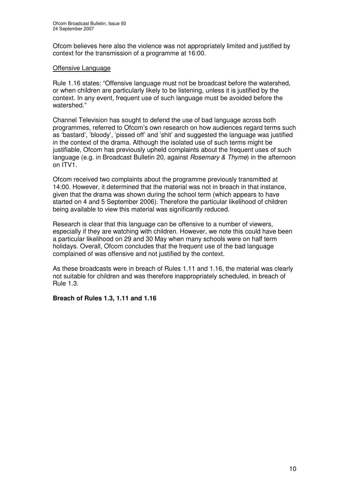Ofcom believes here also the violence was not appropriately limited and justified by context for the transmission of a programme at 16:00.

### Offensive Language

Rule 1.16 states: "Offensive language must not be broadcast before the watershed, or when children are particularly likely to be listening, unless it is justified by the context. In any event, frequent use of such language must be avoided before the watershed."

Channel Television has sought to defend the use of bad language across both programmes, referred to Ofcom's own research on how audiences regard terms such as 'bastard', 'bloody', 'pissed off' and 'shit' and suggested the language was justified in the context of the drama. Although the isolated use of such terms might be justifiable, Ofcom has previously upheld complaints about the frequent uses of such language (e.g. in Broadcast Bulletin 20, against *Rosemary & Thyme*) in the afternoon on ITV1.

Ofcom received two complaints about the programme previously transmitted at 14:00. However, it determined that the material was not in breach in that instance, given that the drama was shown during the school term (which appears to have started on 4 and 5 September 2006). Therefore the particular likelihood of children being available to view this material was significantly reduced.

Research is clear that this language can be offensive to a number of viewers, especially if they are watching with children. However, we note this could have been a particular likelihood on 29 and 30 May when many schools were on half term holidays. Overall, Ofcom concludes that the frequent use of the bad language complained of was offensive and not justified by the context.

As these broadcasts were in breach of Rules 1.11 and 1.16, the material was clearly not suitable for children and was therefore inappropriately scheduled, in breach of Rule 1.3.

**Breach of Rules 1.3, 1.11 and 1.16**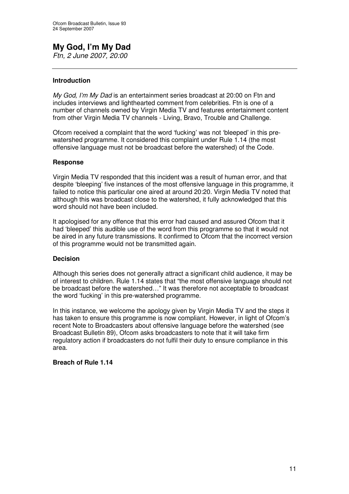# **My God, I'm My Dad**

*Ftn, 2 June 2007, 20:00*

# **Introduction**

*My God, I'm My Dad* is an entertainment series broadcast at 20:00 on Ftn and includes interviews and lighthearted comment from celebrities. Ftn is one of a number of channels owned by Virgin Media TV and features entertainment content from other Virgin Media TV channels - Living, Bravo, Trouble and Challenge.

Ofcom received a complaint that the word 'fucking' was not 'bleeped' in this prewatershed programme. It considered this complaint under Rule 1.14 (the most offensive language must not be broadcast before the watershed) of the Code.

# **Response**

Virgin Media TV responded that this incident was a result of human error, and that despite 'bleeping' five instances of the most offensive language in this programme, it failed to notice this particular one aired at around 20:20. Virgin Media TV noted that although this was broadcast close to the watershed, it fully acknowledged that this word should not have been included.

It apologised for any offence that this error had caused and assured Ofcom that it had 'bleeped' this audible use of the word from this programme so that it would not be aired in any future transmissions. It confirmed to Ofcom that the incorrect version of this programme would not be transmitted again.

# **Decision**

Although this series does not generally attract a significant child audience, it may be of interest to children. Rule 1.14 states that "the most offensive language should not be broadcast before the watershed…" It was therefore not acceptable to broadcast the word 'fucking' in this pre-watershed programme.

In this instance, we welcome the apology given by Virgin Media TV and the steps it has taken to ensure this programme is now compliant. However, in light of Ofcom's recent Note to Broadcasters about offensive language before the watershed (see Broadcast Bulletin 89), Ofcom asks broadcasters to note that it will take firm regulatory action if broadcasters do not fulfil their duty to ensure compliance in this area.

# **Breach of Rule 1.14**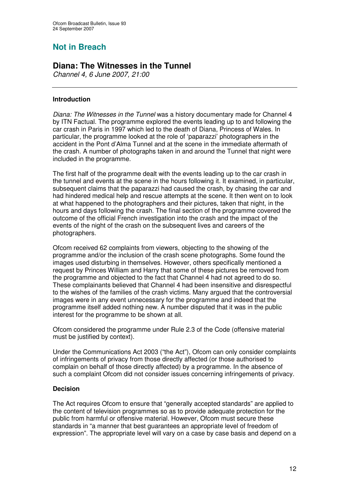# **Not in Breach**

# **Diana: The Witnesses in the Tunnel**

*Channel 4, 6 June 2007, 21:00*

# **Introduction**

*Diana: The Witnesses in the Tunnel* was a history documentary made for Channel 4 by ITN Factual. The programme explored the events leading up to and following the car crash in Paris in 1997 which led to the death of Diana, Princess of Wales. In particular, the programme looked at the role of 'paparazzi' photographers in the accident in the Pont d'Alma Tunnel and at the scene in the immediate aftermath of the crash. A number of photographs taken in and around the Tunnel that night were included in the programme.

The first half of the programme dealt with the events leading up to the car crash in the tunnel and events at the scene in the hours following it. It examined, in particular, subsequent claims that the paparazzi had caused the crash, by chasing the car and had hindered medical help and rescue attempts at the scene. It then went on to look at what happened to the photographers and their pictures, taken that night, in the hours and days following the crash. The final section of the programme covered the outcome of the official French investigation into the crash and the impact of the events of the night of the crash on the subsequent lives and careers of the photographers.

Ofcom received 62 complaints from viewers, objecting to the showing of the programme and/or the inclusion of the crash scene photographs. Some found the images used disturbing in themselves. However, others specifically mentioned a request by Princes William and Harry that some of these pictures be removed from the programme and objected to the fact that Channel 4 had not agreed to do so. These complainants believed that Channel 4 had been insensitive and disrespectful to the wishes of the families of the crash victims. Many argued that the controversial images were in any event unnecessary for the programme and indeed that the programme itself added nothing new. A number disputed that it was in the public interest for the programme to be shown at all.

Ofcom considered the programme under Rule 2.3 of the Code (offensive material must be justified by context).

Under the Communications Act 2003 ("the Act"), Ofcom can only consider complaints of infringements of privacy from those directly affected (or those authorised to complain on behalf of those directly affected) by a programme. In the absence of such a complaint Ofcom did not consider issues concerning infringements of privacy.

# **Decision**

The Act requires Ofcom to ensure that "generally accepted standards" are applied to the content of television programmes so as to provide adequate protection for the public from harmful or offensive material. However, Ofcom must secure these standards in "a manner that best guarantees an appropriate level of freedom of expression". The appropriate level will vary on a case by case basis and depend on a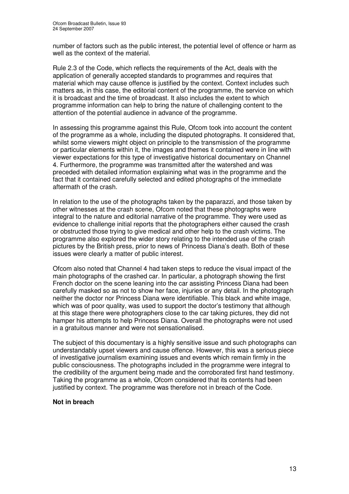number of factors such as the public interest, the potential level of offence or harm as well as the context of the material.

Rule 2.3 of the Code, which reflects the requirements of the Act, deals with the application of generally accepted standards to programmes and requires that material which may cause offence is justified by the context. Context includes such matters as, in this case, the editorial content of the programme, the service on which it is broadcast and the time of broadcast. It also includes the extent to which programme information can help to bring the nature of challenging content to the attention of the potential audience in advance of the programme.

In assessing this programme against this Rule, Ofcom took into account the content of the programme as a whole, including the disputed photographs. It considered that, whilst some viewers might object on principle to the transmission of the programme or particular elements within it, the images and themes it contained were in line with viewer expectations for this type of investigative historical documentary on Channel 4. Furthermore, the programme was transmitted after the watershed and was preceded with detailed information explaining what was in the programme and the fact that it contained carefully selected and edited photographs of the immediate aftermath of the crash.

In relation to the use of the photographs taken by the paparazzi, and those taken by other witnesses at the crash scene, Ofcom noted that these photographs were integral to the nature and editorial narrative of the programme. They were used as evidence to challenge initial reports that the photographers either caused the crash or obstructed those trying to give medical and other help to the crash victims. The programme also explored the wider story relating to the intended use of the crash pictures by the British press, prior to news of Princess Diana's death. Both of these issues were clearly a matter of public interest.

Ofcom also noted that Channel 4 had taken steps to reduce the visual impact of the main photographs of the crashed car. In particular, a photograph showing the first French doctor on the scene leaning into the car assisting Princess Diana had been carefully masked so as not to show her face, injuries or any detail. In the photograph neither the doctor nor Princess Diana were identifiable. This black and white image, which was of poor quality, was used to support the doctor's testimony that although at this stage there were photographers close to the car taking pictures, they did not hamper his attempts to help Princess Diana. Overall the photographs were not used in a gratuitous manner and were not sensationalised.

The subject of this documentary is a highly sensitive issue and such photographs can understandably upset viewers and cause offence. However, this was a serious piece of investigative journalism examining issues and events which remain firmly in the public consciousness. The photographs included in the programme were integral to the credibility of the argument being made and the corroborated first hand testimony. Taking the programme as a whole, Ofcom considered that its contents had been justified by context. The programme was therefore not in breach of the Code.

# **Not in breach**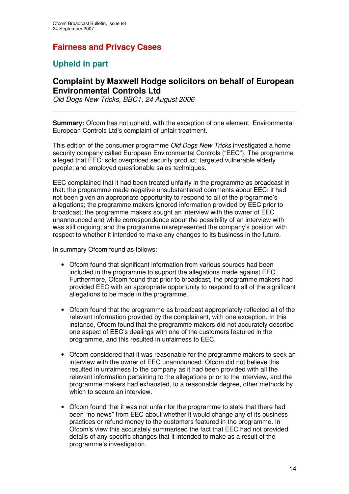# **Fairness and Privacy Cases**

# **Upheld in part**

# **Complaint by Maxwell Hodge solicitors on behalf of European Environmental Controls Ltd**

*Old Dogs New Tricks, BBC1, 24 August 2006*

**Summary:** Ofcom has not upheld, with the exception of one element, Environmental European Controls Ltd's complaint of unfair treatment.

This edition of the consumer programme *Old Dogs New Tricks* investigated a home security company called European Environmental Controls ("EEC"). The programme alleged that EEC: sold overpriced security product; targeted vulnerable elderly people; and employed questionable sales techniques.

EEC complained that it had been treated unfairly in the programme as broadcast in that: the programme made negative unsubstantiated comments about EEC; it had not been given an appropriate opportunity to respond to all of the programme's allegations; the programme makers ignored information provided by EEC prior to broadcast; the programme makers sought an interview with the owner of EEC unannounced and while correspondence about the possibility of an interview with was still ongoing; and the programme misrepresented the company's position with respect to whether it intended to make any changes to its business in the future.

In summary Ofcom found as follows:

- Ofcom found that significant information from various sources had been included in the programme to support the allegations made against EEC. Furthermore, Ofcom found that prior to broadcast, the programme makers had provided EEC with an appropriate opportunity to respond to all of the significant allegations to be made in the programme.
- Ofcom found that the programme as broadcast appropriately reflected all of the relevant information provided by the complainant, with one exception. In this instance, Ofcom found that the programme makers did not accurately describe one aspect of EEC's dealings with one of the customers featured in the programme, and this resulted in unfairness to EEC.
- Ofcom considered that it was reasonable for the programme makers to seek an interview with the owner of EEC unannounced. Ofcom did not believe this resulted in unfairness to the company as it had been provided with all the relevant information pertaining to the allegations prior to the interview, and the programme makers had exhausted, to a reasonable degree, other methods by which to secure an interview.
- Ofcom found that it was not unfair for the programme to state that there had been "no news" from EEC about whether it would change any of its business practices or refund money to the customers featured in the programme. In Ofcom's view this accurately summarised the fact that EEC had not provided details of any specific changes that it intended to make as a result of the programme's investigation.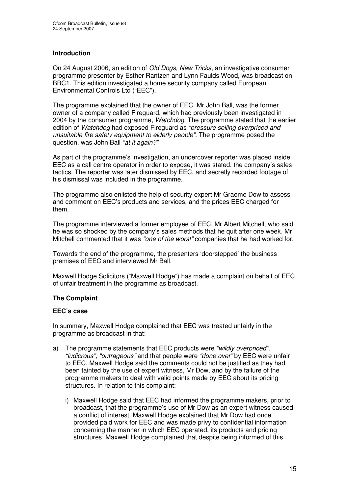# **Introduction**

On 24 August 2006, an edition of *Old Dogs, New Tricks*, an investigative consumer programme presenter by Esther Rantzen and Lynn Faulds Wood, was broadcast on BBC1. This edition investigated a home security company called European Environmental Controls Ltd ("EEC").

The programme explained that the owner of EEC, Mr John Ball, was the former owner of a company called Fireguard, which had previously been investigated in 2004 by the consumer programme, *Watchdog*. The programme stated that the earlier edition of *Watchdog* had exposed Fireguard as *"pressure selling overpriced and unsuitable fire safety equipment to elderly people"*. The programme posed the question, was John Ball *"at it again?"*

As part of the programme's investigation, an undercover reporter was placed inside EEC as a call centre operator in order to expose, it was stated, the company's sales tactics. The reporter was later dismissed by EEC, and secretly recorded footage of his dismissal was included in the programme.

The programme also enlisted the help of security expert Mr Graeme Dow to assess and comment on EEC's products and services, and the prices EEC charged for them.

The programme interviewed a former employee of EEC, Mr Albert Mitchell, who said he was so shocked by the company's sales methods that he quit after one week. Mr Mitchell commented that it was *"one of the worst"* companies that he had worked for.

Towards the end of the programme, the presenters 'doorstepped' the business premises of EEC and interviewed Mr Ball.

Maxwell Hodge Solicitors ("Maxwell Hodge") has made a complaint on behalf of EEC of unfair treatment in the programme as broadcast.

# **The Complaint**

### **EEC's case**

In summary, Maxwell Hodge complained that EEC was treated unfairly in the programme as broadcast in that:

- a) The programme statements that EEC products were *"wildly overpriced"*, *"ludicrous", "outrageous"* and that people were *"done over"* by EEC were unfair to EEC. Maxwell Hodge said the comments could not be justified as they had been tainted by the use of expert witness, Mr Dow, and by the failure of the programme makers to deal with valid points made by EEC about its pricing structures. In relation to this complaint:
	- i) Maxwell Hodge said that EEC had informed the programme makers, prior to broadcast, that the programme's use of Mr Dow as an expert witness caused a conflict of interest. Maxwell Hodge explained that Mr Dow had once provided paid work for EEC and was made privy to confidential information concerning the manner in which EEC operated, its products and pricing structures. Maxwell Hodge complained that despite being informed of this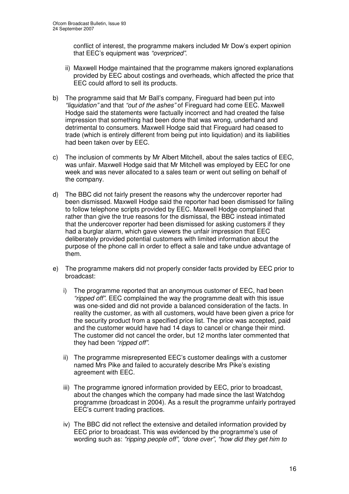conflict of interest, the programme makers included Mr Dow's expert opinion that EEC's equipment was *"overpriced"*.

- ii) Maxwell Hodge maintained that the programme makers ignored explanations provided by EEC about costings and overheads, which affected the price that EEC could afford to sell its products.
- b) The programme said that Mr Ball's company, Fireguard had been put into *"liquidation"* and that *"out of the ashes"* of Fireguard had come EEC. Maxwell Hodge said the statements were factually incorrect and had created the false impression that something had been done that was wrong, underhand and detrimental to consumers. Maxwell Hodge said that Fireguard had ceased to trade (which is entirely different from being put into liquidation) and its liabilities had been taken over by EEC.
- c) The inclusion of comments by Mr Albert Mitchell, about the sales tactics of EEC, was unfair. Maxwell Hodge said that Mr Mitchell was employed by EEC for one week and was never allocated to a sales team or went out selling on behalf of the company.
- d) The BBC did not fairly present the reasons why the undercover reporter had been dismissed. Maxwell Hodge said the reporter had been dismissed for failing to follow telephone scripts provided by EEC. Maxwell Hodge complained that rather than give the true reasons for the dismissal, the BBC instead intimated that the undercover reporter had been dismissed for asking customers if they had a burglar alarm, which gave viewers the unfair impression that EEC deliberately provided potential customers with limited information about the purpose of the phone call in order to effect a sale and take undue advantage of them.
- e) The programme makers did not properly consider facts provided by EEC prior to broadcast:
	- i) The programme reported that an anonymous customer of EEC, had been *"ripped off".* EEC complained the way the programme dealt with this issue was one-sided and did not provide a balanced consideration of the facts. In reality the customer, as with all customers, would have been given a price for the security product from a specified price list. The price was accepted, paid and the customer would have had 14 days to cancel or change their mind. The customer did not cancel the order, but 12 months later commented that they had been *"ripped off"*.
	- ii) The programme misrepresented EEC's customer dealings with a customer named Mrs Pike and failed to accurately describe Mrs Pike's existing agreement with EEC.
	- iii) The programme ignored information provided by EEC, prior to broadcast, about the changes which the company had made since the last Watchdog programme (broadcast in 2004). As a result the programme unfairly portrayed EEC's current trading practices.
	- iv) The BBC did not reflect the extensive and detailed information provided by EEC prior to broadcast. This was evidenced by the programme's use of wording such as: *"ripping people off"*, *"done over"*, *"how did they get him to*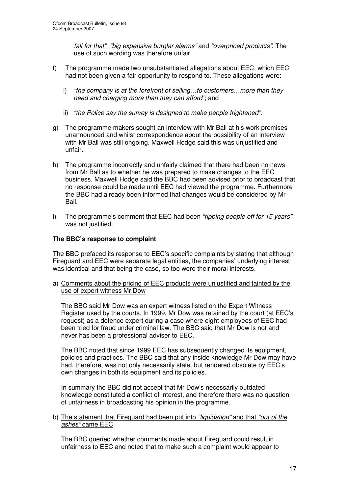*fall for that"*, *"big expensive burglar alarms"* and *"overpriced products"*. The use of such wording was therefore unfair.

- f) The programme made two unsubstantiated allegations about EEC, which EEC had not been given a fair opportunity to respond to. These allegations were:
	- i) *"the company is at the forefront of selling…to customers…more than they need and charging more than they can afford"*; and
	- ii) *"the Police say the survey is designed to make people frightened"*.
- g) The programme makers sought an interview with Mr Ball at his work premises unannounced and whilst correspondence about the possibility of an interview with Mr Ball was still ongoing. Maxwell Hodge said this was unjustified and unfair.
- h) The programme incorrectly and unfairly claimed that there had been no news from Mr Ball as to whether he was prepared to make changes to the EEC business. Maxwell Hodge said the BBC had been advised prior to broadcast that no response could be made until EEC had viewed the programme. Furthermore the BBC had already been informed that changes would be considered by Mr Ball.
- i) The programme's comment that EEC had been *"ripping people off for 15 years"* was not justified.

# **The BBC's response to complaint**

The BBC prefaced its response to EEC's specific complaints by stating that although Fireguard and EEC were separate legal entities, the companies' underlying interest was identical and that being the case, so too were their moral interests.

a) Comments about the pricing of EEC products were unjustified and tainted by the use of expert witness Mr Dow

The BBC said Mr Dow was an expert witness listed on the Expert Witness Register used by the courts. In 1999, Mr Dow was retained by the court (at EEC's request) as a defence expert during a case where eight employees of EEC had been tried for fraud under criminal law. The BBC said that Mr Dow is not and never has been a professional adviser to EEC.

The BBC noted that since 1999 EEC has subsequently changed its equipment, policies and practices. The BBC said that any inside knowledge Mr Dow may have had, therefore, was not only necessarily stale, but rendered obsolete by EEC's own changes in both its equipment and its policies.

In summary the BBC did not accept that Mr Dow's necessarily outdated knowledge constituted a conflict of interest, and therefore there was no question of unfairness in broadcasting his opinion in the programme.

### b) The statement that Fireguard had been put into *"liquidation"* and that *"out of the ashes"* came EEC

The BBC queried whether comments made about Fireguard could result in unfairness to EEC and noted that to make such a complaint would appear to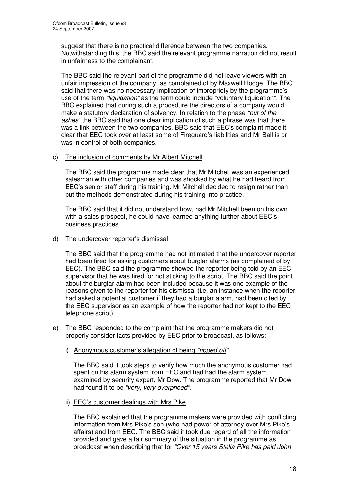suggest that there is no practical difference between the two companies. Notwithstanding this, the BBC said the relevant programme narration did not result in unfairness to the complainant.

The BBC said the relevant part of the programme did not leave viewers with an unfair impression of the company, as complained of by Maxwell Hodge. The BBC said that there was no necessary implication of impropriety by the programme's use of the term *"liquidation"* as the term could include "voluntary liquidation". The BBC explained that during such a procedure the directors of a company would make a statutory declaration of solvency. In relation to the phase *"out of the ashes"* the BBC said that one clear implication of such a phrase was that there was a link between the two companies. BBC said that EEC's complaint made it clear that EEC took over at least some of Fireguard's liabilities and Mr Ball is or was in control of both companies.

# c) The inclusion of comments by Mr Albert Mitchell

The BBC said the programme made clear that Mr Mitchell was an experienced salesman with other companies and was shocked by what he had heard from EEC's senior staff during his training. Mr Mitchell decided to resign rather than put the methods demonstrated during his training into practice.

The BBC said that it did not understand how, had Mr Mitchell been on his own with a sales prospect, he could have learned anything further about EEC's business practices.

### d) The undercover reporter's dismissal

The BBC said that the programme had not intimated that the undercover reporter had been fired for asking customers about burglar alarms (as complained of by EEC). The BBC said the programme showed the reporter being told by an EEC supervisor that he was fired for not sticking to the script. The BBC said the point about the burglar alarm had been included because it was one example of the reasons given to the reporter for his dismissal (i.e. an instance when the reporter had asked a potential customer if they had a burglar alarm, had been cited by the EEC supervisor as an example of how the reporter had not kept to the EEC telephone script).

- e) The BBC responded to the complaint that the programme makers did not properly consider facts provided by EEC prior to broadcast, as follows:
	- i) Anonymous customer's allegation of being *"ripped off"*

The BBC said it took steps to verify how much the anonymous customer had spent on his alarm system from EEC and had had the alarm system examined by security expert, Mr Dow. The programme reported that Mr Dow had found it to be *"very, very overpriced"*.

ii) EEC's customer dealings with Mrs Pike

The BBC explained that the programme makers were provided with conflicting information from Mrs Pike's son (who had power of attorney over Mrs Pike's affairs) and from EEC. The BBC said it took due regard of all the information provided and gave a fair summary of the situation in the programme as broadcast when describing that for *"Over 15 years Stella Pike has paid John*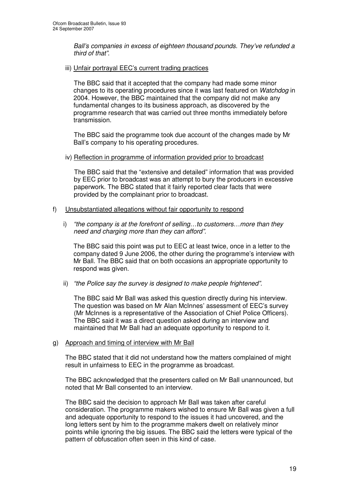*Ball's companies in excess of eighteen thousand pounds. They've refunded a third of that"*.

iii) Unfair portrayal EEC's current trading practices

The BBC said that it accepted that the company had made some minor changes to its operating procedures since it was last featured on *Watchdog* in 2004. However, the BBC maintained that the company did not make any fundamental changes to its business approach, as discovered by the programme research that was carried out three months immediately before transmission.

The BBC said the programme took due account of the changes made by Mr Ball's company to his operating procedures.

iv) Reflection in programme of information provided prior to broadcast

The BBC said that the "extensive and detailed" information that was provided by EEC prior to broadcast was an attempt to bury the producers in excessive paperwork. The BBC stated that it fairly reported clear facts that were provided by the complainant prior to broadcast.

### f) Unsubstantiated allegations without fair opportunity to respond

i) *"the company is at the forefront of selling…to customers…more than they need and charging more than they can afford".*

The BBC said this point was put to EEC at least twice, once in a letter to the company dated 9 June 2006, the other during the programme's interview with Mr Ball. The BBC said that on both occasions an appropriate opportunity to respond was given.

ii) *"the Police say the survey is designed to make people frightened".*

The BBC said Mr Ball was asked this question directly during his interview. The question was based on Mr Alan McInnes' assessment of EEC's survey (Mr McInnes is a representative of the Association of Chief Police Officers). The BBC said it was a direct question asked during an interview and maintained that Mr Ball had an adequate opportunity to respond to it.

### g) Approach and timing of interview with Mr Ball

The BBC stated that it did not understand how the matters complained of might result in unfairness to EEC in the programme as broadcast.

The BBC acknowledged that the presenters called on Mr Ball unannounced, but noted that Mr Ball consented to an interview.

The BBC said the decision to approach Mr Ball was taken after careful consideration. The programme makers wished to ensure Mr Ball was given a full and adequate opportunity to respond to the issues it had uncovered, and the long letters sent by him to the programme makers dwelt on relatively minor points while ignoring the big issues. The BBC said the letters were typical of the pattern of obfuscation often seen in this kind of case.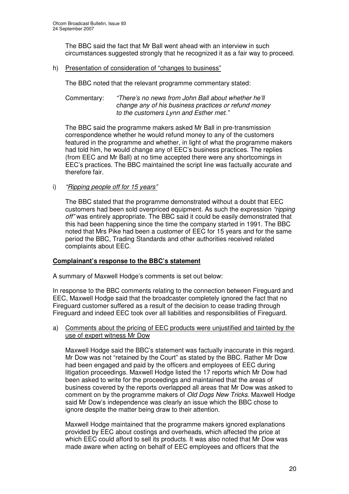The BBC said the fact that Mr Ball went ahead with an interview in such circumstances suggested strongly that he recognized it as a fair way to proceed.

h) Presentation of consideration of "changes to business"

The BBC noted that the relevant programme commentary stated:

Commentary: *"There's no news from John Ball about whether he'll change any of his business practices or refund money to the customers Lynn and Esther met."*

The BBC said the programme makers asked Mr Ball in pre-transmission correspondence whether he would refund money to any of the customers featured in the programme and whether, in light of what the programme makers had told him, he would change any of EEC's business practices. The replies (from EEC and Mr Ball) at no time accepted there were any shortcomings in EEC's practices. The BBC maintained the script line was factually accurate and therefore fair.

i) *"Ripping people off for 15 years"*

The BBC stated that the programme demonstrated without a doubt that EEC customers had been sold overpriced equipment. As such the expression *"ripping off"* was entirely appropriate. The BBC said it could be easily demonstrated that this had been happening since the time the company started in 1991. The BBC noted that Mrs Pike had been a customer of EEC for 15 years and for the same period the BBC, Trading Standards and other authorities received related complaints about EEC.

# **Complainant's response to the BBC's statement**

A summary of Maxwell Hodge's comments is set out below:

In response to the BBC comments relating to the connection between Fireguard and EEC, Maxwell Hodge said that the broadcaster completely ignored the fact that no Fireguard customer suffered as a result of the decision to cease trading through Fireguard and indeed EEC took over all liabilities and responsibilities of Fireguard.

a) Comments about the pricing of EEC products were unjustified and tainted by the use of expert witness Mr Dow

Maxwell Hodge said the BBC's statement was factually inaccurate in this regard. Mr Dow was not "retained by the Court" as stated by the BBC. Rather Mr Dow had been engaged and paid by the officers and employees of EEC during litigation proceedings. Maxwell Hodge listed the 17 reports which Mr Dow had been asked to write for the proceedings and maintained that the areas of business covered by the reports overlapped all areas that Mr Dow was asked to comment on by the programme makers of *Old Dogs New Tricks*. Maxwell Hodge said Mr Dow's independence was clearly an issue which the BBC chose to ignore despite the matter being draw to their attention.

Maxwell Hodge maintained that the programme makers ignored explanations provided by EEC about costings and overheads, which affected the price at which EEC could afford to sell its products. It was also noted that Mr Dow was made aware when acting on behalf of EEC employees and officers that the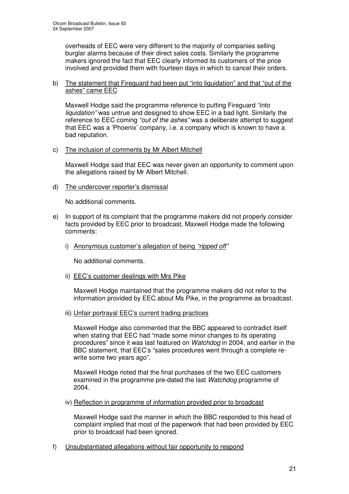overheads of EEC were very different to the majority of companies selling burglar alarms because of their direct sales costs. Similarly the programme makers ignored the fact that EEC clearly informed its customers of the price involved and provided them with fourteen days in which to cancel their orders.

# b) The statement that Fireguard had been put "into liquidation" and that "out of the ashes" came EEC

Maxwell Hodge said the programme reference to putting Fireguard *"into liquidation"* was untrue and designed to show EEC in a bad light. Similarly the reference to EEC coming *"out of the ashes"* was a deliberate attempt to suggest that EEC was a 'Phoenix' company, i.e. a company which is known to have a bad reputation.

# c) The inclusion of comments by Mr Albert Mitchell

Maxwell Hodge said that EEC was never given an opportunity to comment upon the allegations raised by Mr Albert Mitchell.

d) The undercover reporter's dismissal

No additional comments.

- e) In support of its complaint that the programme makers did not properly consider facts provided by EEC prior to broadcast, Maxwell Hodge made the following comments:
	- i) Anonymous customer's allegation of being *"ripped off"*

No additional comments.

ii) EEC's customer dealings with Mrs Pike

Maxwell Hodge maintained that the programme makers did not refer to the information provided by EEC about Ms Pike, in the programme as broadcast.

iii) Unfair portrayal EEC's current trading practices

Maxwell Hodge also commented that the BBC appeared to contradict itself when stating that EEC had "made some minor changes to its operating procedures" since it was last featured on *Watchdog* in 2004, and earlier in the BBC statement, that EEC's "sales procedures went through a complete rewrite some two years ago".

Maxwell Hodge noted that the final purchases of the two EEC customers examined in the programme pre-dated the last *Watchdog* programme of 2004.

iv) Reflection in programme of information provided prior to broadcast

Maxwell Hodge said the manner in which the BBC responded to this head of complaint implied that most of the paperwork that had been provided by EEC prior to broadcast had been ignored.

f) Unsubstantiated allegations without fair opportunity to respond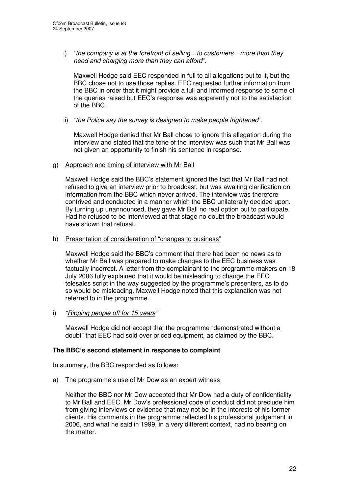i) *"the company is at the forefront of selling…to customers…more than they need and charging more than they can afford".*

Maxwell Hodge said EEC responded in full to all allegations put to it, but the BBC chose not to use those replies. EEC requested further information from the BBC in order that it might provide a full and informed response to some of the queries raised but EEC's response was apparently not to the satisfaction of the BBC.

ii) *"the Police say the survey is designed to make people frightened".*

Maxwell Hodge denied that Mr Ball chose to ignore this allegation during the interview and stated that the tone of the interview was such that Mr Ball was not given an opportunity to finish his sentence in response.

g) Approach and timing of interview with Mr Ball

Maxwell Hodge said the BBC's statement ignored the fact that Mr Ball had not refused to give an interview prior to broadcast, but was awaiting clarification on information from the BBC which never arrived. The interview was therefore contrived and conducted in a manner which the BBC unilaterally decided upon. By turning up unannounced, they gave Mr Ball no real option but to participate. Had he refused to be interviewed at that stage no doubt the broadcast would have shown that refusal.

h) Presentation of consideration of "changes to business"

Maxwell Hodge said the BBC's comment that there had been no news as to whether Mr Ball was prepared to make changes to the EEC business was factually incorrect. A letter from the complainant to the programme makers on 18 July 2006 fully explained that it would be misleading to change the EEC telesales script in the way suggested by the programme's presenters, as to do so would be misleading. Maxwell Hodge noted that this explanation was not referred to in the programme.

i) *"Ripping people off for 15 years"*

Maxwell Hodge did not accept that the programme "demonstrated without a doubt" that EEC had sold over priced equipment, as claimed by the BBC.

# **The BBC's second statement in response to complaint**

In summary, the BBC responded as follows:

a) The programme's use of Mr Dow as an expert witness

Neither the BBC nor Mr Dow accepted that Mr Dow had a duty of confidentiality to Mr Ball and EEC. Mr Dow's professional code of conduct did not preclude him from giving interviews or evidence that may not be in the interests of his former clients. His comments in the programme reflected his professional judgement in 2006, and what he said in 1999, in a very different context, had no bearing on the matter.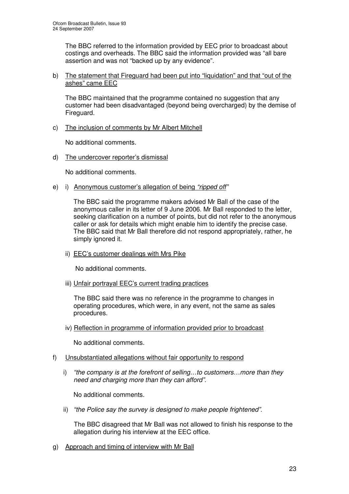The BBC referred to the information provided by EEC prior to broadcast about costings and overheads. The BBC said the information provided was "all bare assertion and was not "backed up by any evidence".

### b) The statement that Fireguard had been put into "liquidation" and that "out of the ashes" came EEC

The BBC maintained that the programme contained no suggestion that any customer had been disadvantaged (beyond being overcharged) by the demise of Fireguard.

c) The inclusion of comments by Mr Albert Mitchell

No additional comments.

d) The undercover reporter's dismissal

No additional comments.

e) i) Anonymous customer's allegation of being *"ripped off"*

The BBC said the programme makers advised Mr Ball of the case of the anonymous caller in its letter of 9 June 2006. Mr Ball responded to the letter, seeking clarification on a number of points, but did not refer to the anonymous caller or ask for details which might enable him to identify the precise case. The BBC said that Mr Ball therefore did not respond appropriately, rather, he simply ignored it.

ii) EEC's customer dealings with Mrs Pike

No additional comments.

iii) Unfair portrayal EEC's current trading practices

The BBC said there was no reference in the programme to changes in operating procedures, which were, in any event, not the same as sales procedures.

iv) Reflection in programme of information provided prior to broadcast

No additional comments.

- f) Unsubstantiated allegations without fair opportunity to respond
	- i) *"the company is at the forefront of selling…to customers…more than they need and charging more than they can afford".*

No additional comments.

ii) *"the Police say the survey is designed to make people frightened".*

The BBC disagreed that Mr Ball was not allowed to finish his response to the allegation during his interview at the EEC office.

g) Approach and timing of interview with Mr Ball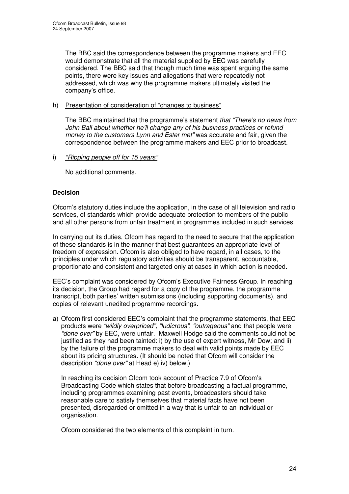The BBC said the correspondence between the programme makers and EEC would demonstrate that all the material supplied by EEC was carefully considered. The BBC said that though much time was spent arguing the same points, there were key issues and allegations that were repeatedly not addressed, which was why the programme makers ultimately visited the company's office.

# h) Presentation of consideration of "changes to business"

The BBC maintained that the programme's statement *that "There's no news from John Ball about whether he'll change any of his business practices or refund money to the customers Lynn and Ester met"* was accurate and fair, given the correspondence between the programme makers and EEC prior to broadcast.

# i) *"Ripping people off for 15 years"*

No additional comments.

# **Decision**

Ofcom's statutory duties include the application, in the case of all television and radio services, of standards which provide adequate protection to members of the public and all other persons from unfair treatment in programmes included in such services.

In carrying out its duties, Ofcom has regard to the need to secure that the application of these standards is in the manner that best guarantees an appropriate level of freedom of expression. Ofcom is also obliged to have regard, in all cases, to the principles under which regulatory activities should be transparent, accountable, proportionate and consistent and targeted only at cases in which action is needed.

EEC's complaint was considered by Ofcom's Executive Fairness Group. In reaching its decision, the Group had regard for a copy of the programme, the programme transcript, both parties' written submissions (including supporting documents), and copies of relevant unedited programme recordings.

a) Ofcom first considered EEC's complaint that the programme statements, that EEC products were *"wildly overpriced", "ludicrous"*, *"outrageous"* and that people were *"done over"* by EEC, were unfair. Maxwell Hodge said the comments could not be justified as they had been tainted: i) by the use of expert witness, Mr Dow; and ii) by the failure of the programme makers to deal with valid points made by EEC about its pricing structures. (It should be noted that Ofcom will consider the description *"done over"* at Head e) iv) below.)

In reaching its decision Ofcom took account of Practice 7.9 of Ofcom's Broadcasting Code which states that before broadcasting a factual programme, including programmes examining past events, broadcasters should take reasonable care to satisfy themselves that material facts have not been presented, disregarded or omitted in a way that is unfair to an individual or organisation.

Ofcom considered the two elements of this complaint in turn.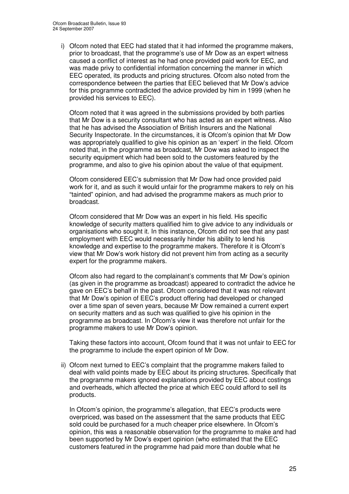i) Ofcom noted that EEC had stated that it had informed the programme makers, prior to broadcast, that the programme's use of Mr Dow as an expert witness caused a conflict of interest as he had once provided paid work for EEC, and was made privy to confidential information concerning the manner in which EEC operated, its products and pricing structures. Ofcom also noted from the correspondence between the parties that EEC believed that Mr Dow's advice for this programme contradicted the advice provided by him in 1999 (when he provided his services to EEC).

Ofcom noted that it was agreed in the submissions provided by both parties that Mr Dow is a security consultant who has acted as an expert witness. Also that he has advised the Association of British Insurers and the National Security Inspectorate. In the circumstances, it is Ofcom's opinion that Mr Dow was appropriately qualified to give his opinion as an 'expert' in the field. Ofcom noted that, in the programme as broadcast, Mr Dow was asked to inspect the security equipment which had been sold to the customers featured by the programme, and also to give his opinion about the value of that equipment.

Ofcom considered EEC's submission that Mr Dow had once provided paid work for it, and as such it would unfair for the programme makers to rely on his "tainted" opinion, and had advised the programme makers as much prior to broadcast.

Ofcom considered that Mr Dow was an expert in his field. His specific knowledge of security matters qualified him to give advice to any individuals or organisations who sought it. In this instance, Ofcom did not see that any past employment with EEC would necessarily hinder his ability to lend his knowledge and expertise to the programme makers. Therefore it is Ofcom's view that Mr Dow's work history did not prevent him from acting as a security expert for the programme makers.

Ofcom also had regard to the complainant's comments that Mr Dow's opinion (as given in the programme as broadcast) appeared to contradict the advice he gave on EEC's behalf in the past. Ofcom considered that it was not relevant that Mr Dow's opinion of EEC's product offering had developed or changed over a time span of seven years, because Mr Dow remained a current expert on security matters and as such was qualified to give his opinion in the programme as broadcast. In Ofcom's view it was therefore not unfair for the programme makers to use Mr Dow's opinion.

Taking these factors into account, Ofcom found that it was not unfair to EEC for the programme to include the expert opinion of Mr Dow.

ii) Ofcom next turned to EEC's complaint that the programme makers failed to deal with valid points made by EEC about its pricing structures. Specifically that the programme makers ignored explanations provided by EEC about costings and overheads, which affected the price at which EEC could afford to sell its products.

In Ofcom's opinion, the programme's allegation, that EEC's products were overpriced, was based on the assessment that the same products that EEC sold could be purchased for a much cheaper price elsewhere. In Ofcom's opinion, this was a reasonable observation for the programme to make and had been supported by Mr Dow's expert opinion (who estimated that the EEC customers featured in the programme had paid more than double what he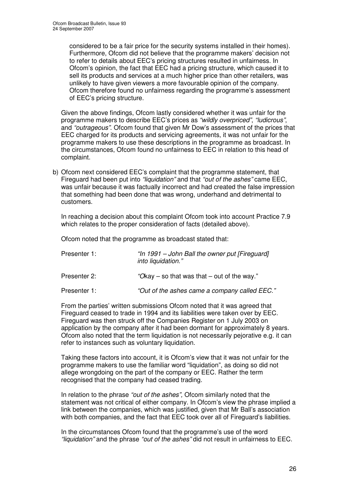considered to be a fair price for the security systems installed in their homes). Furthermore, Ofcom did not believe that the programme makers' decision not to refer to details about EEC's pricing structures resulted in unfairness. In Ofcom's opinion, the fact that EEC had a pricing structure, which caused it to sell its products and services at a much higher price than other retailers, was unlikely to have given viewers a more favourable opinion of the company. Ofcom therefore found no unfairness regarding the programme's assessment of EEC's pricing structure.

Given the above findings, Ofcom lastly considered whether it was unfair for the programme makers to describe EEC's prices as *"wildly overpriced"*, *"ludicrous"*, and *"outrageous"*. Ofcom found that given Mr Dow's assessment of the prices that EEC charged for its products and servicing agreements, it was not unfair for the programme makers to use these descriptions in the programme as broadcast. In the circumstances, Ofcom found no unfairness to EEC in relation to this head of complaint.

b) Ofcom next considered EEC's complaint that the programme statement, that Fireguard had been put into *"liquidation"* and that *"out of the ashes"* came EEC, was unfair because it was factually incorrect and had created the false impression that something had been done that was wrong, underhand and detrimental to customers.

In reaching a decision about this complaint Ofcom took into account Practice 7.9 which relates to the proper consideration of facts (detailed above).

Ofcom noted that the programme as broadcast stated that:

| Presenter 1: | "In 1991 – John Ball the owner put [Fireguard]<br>into liquidation." |  |
|--------------|----------------------------------------------------------------------|--|
| Presenter 2: | "Okay – so that was that – out of the way."                          |  |
| Presenter 1: | "Out of the ashes came a company called EEC."                        |  |

From the parties' written submissions Ofcom noted that it was agreed that Fireguard ceased to trade in 1994 and its liabilities were taken over by EEC. Fireguard was then struck off the Companies Register on 1 July 2003 on application by the company after it had been dormant for approximately 8 years. Ofcom also noted that the term liquidation is not necessarily pejorative e.g. it can refer to instances such as voluntary liquidation.

Taking these factors into account, it is Ofcom's view that it was not unfair for the programme makers to use the familiar word "liquidation", as doing so did not allege wrongdoing on the part of the company or EEC. Rather the term recognised that the company had ceased trading.

In relation to the phrase *"out of the ashes",* Ofcom similarly noted that the statement was not critical of either company. In Ofcom's view the phrase implied a link between the companies, which was justified, given that Mr Ball's association with both companies, and the fact that EEC took over all of Fireguard's liabilities.

In the circumstances Ofcom found that the programme's use of the word *"liquidation"* and the phrase *"out of the ashes"* did not result in unfairness to EEC.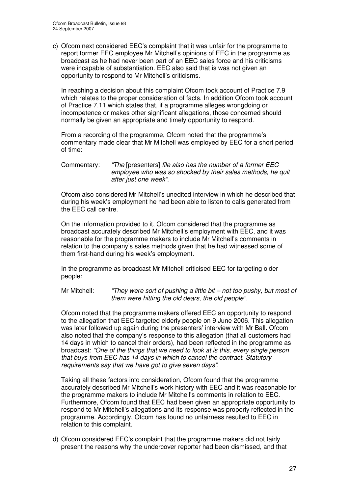c) Ofcom next considered EEC's complaint that it was unfair for the programme to report former EEC employee Mr Mitchell's opinions of EEC in the programme as broadcast as he had never been part of an EEC sales force and his criticisms were incapable of substantiation. EEC also said that is was not given an opportunity to respond to Mr Mitchell's criticisms.

In reaching a decision about this complaint Ofcom took account of Practice 7.9 which relates to the proper consideration of facts. In addition Ofcom took account of Practice 7.11 which states that, if a programme alleges wrongdoing or incompetence or makes other significant allegations, those concerned should normally be given an appropriate and timely opportunity to respond.

From a recording of the programme, Ofcom noted that the programme's commentary made clear that Mr Mitchell was employed by EEC for a short period of time:

Commentary: *"The* [presenters] *file also has the number of a former EEC employee who was so shocked by their sales methods, he quit after just one week".*

Ofcom also considered Mr Mitchell's unedited interview in which he described that during his week's employment he had been able to listen to calls generated from the EEC call centre.

On the information provided to it, Ofcom considered that the programme as broadcast accurately described Mr Mitchell's employment with EEC, and it was reasonable for the programme makers to include Mr Mitchell's comments in relation to the company's sales methods given that he had witnessed some of them first-hand during his week's employment.

In the programme as broadcast Mr Mitchell criticised EEC for targeting older people:

Mr Mitchell: *"They were sort of pushing a little bit – not too pushy, but most of them were hitting the old dears, the old people".*

Ofcom noted that the programme makers offered EEC an opportunity to respond to the allegation that EEC targeted elderly people on 9 June 2006. This allegation was later followed up again during the presenters' interview with Mr Ball. Ofcom also noted that the company's response to this allegation (that all customers had 14 days in which to cancel their orders), had been reflected in the programme as broadcast: *"One of the things that we need to look at is this, every single person that buys from EEC has 14 days in which to cancel the contract. Statutory requirements say that we have got to give seven days"*.

Taking all these factors into consideration, Ofcom found that the programme accurately described Mr Mitchell's work history with EEC and it was reasonable for the programme makers to include Mr Mitchell's comments in relation to EEC. Furthermore, Ofcom found that EEC had been given an appropriate opportunity to respond to Mr Mitchell's allegations and its response was properly reflected in the programme. Accordingly, Ofcom has found no unfairness resulted to EEC in relation to this complaint.

d) Ofcom considered EEC's complaint that the programme makers did not fairly present the reasons why the undercover reporter had been dismissed, and that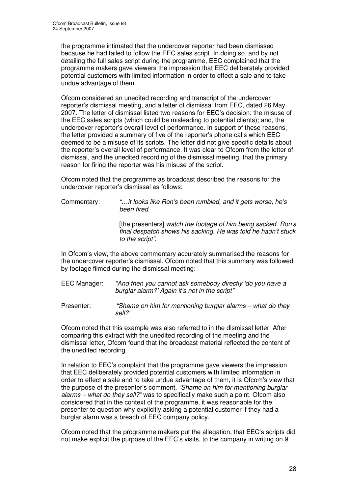the programme intimated that the undercover reporter had been dismissed because he had failed to follow the EEC sales script. In doing so, and by not detailing the full sales script during the programme, EEC complained that the programme makers gave viewers the impression that EEC deliberately provided potential customers with limited information in order to effect a sale and to take undue advantage of them.

Ofcom considered an unedited recording and transcript of the undercover reporter's dismissal meeting, and a letter of dismissal from EEC, dated 26 May 2007. The letter of dismissal listed two reasons for EEC's decision: the misuse of the EEC sales scripts (which could be misleading to potential clients); and, the undercover reporter's overall level of performance. In support of these reasons, the letter provided a summary of five of the reporter's phone calls which EEC deemed to be a misuse of its scripts. The letter did not give specific details about the reporter's overall level of performance. It was clear to Ofcom from the letter of dismissal, and the unedited recording of the dismissal meeting, that the primary reason for firing the reporter was his misuse of the script.

Ofcom noted that the programme as broadcast described the reasons for the undercover reporter's dismissal as follows:

Commentary: *"…it looks like Ron's been rumbled, and it gets worse, he's been fired.*

> [the presenters] *watch the footage of him being sacked. Ron's final despatch shows his sacking. He was told he hadn't stuck to the script".*

In Ofcom's view, the above commentary accurately summarised the reasons for the undercover reporter's dismissal. Ofcom noted that this summary was followed by footage filmed during the dismissal meeting:

EEC Manager: *"And then you cannot ask somebody directly 'do you have a burglar alarm?' Again it's not in the script"*

Presenter: *"Shame on him for mentioning burglar alarms – what do they sell?"*

Ofcom noted that this example was also referred to in the dismissal letter. After comparing this extract with the unedited recording of the meeting and the dismissal letter, Ofcom found that the broadcast material reflected the content of the unedited recording.

In relation to EEC's complaint that the programme gave viewers the impression that EEC deliberately provided potential customers with limited information in order to effect a sale and to take undue advantage of them, it is Ofcom's view that the purpose of the presenter's comment, *"Shame on him for mentioning burglar alarms – what do they sell?"* was to specifically make such a point. Ofcom also considered that in the context of the programme, it was reasonable for the presenter to question why explicitly asking a potential customer if they had a burglar alarm was a breach of EEC company policy.

Ofcom noted that the programme makers put the allegation, that EEC's scripts did not make explicit the purpose of the EEC's visits, to the company in writing on 9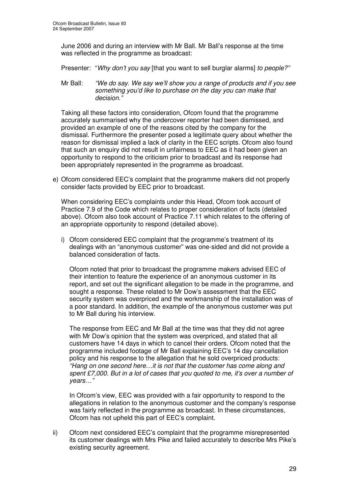June 2006 and during an interview with Mr Ball. Mr Ball's response at the time was reflected in the programme as broadcast:

Presenter: "*Why don't you say* [that you want to sell burglar alarms] *to people?"*

Mr Ball: *"We do say. We say we'll show you a range of products and if you see something you'd like to purchase on the day you can make that decision."*

Taking all these factors into consideration, Ofcom found that the programme accurately summarised why the undercover reporter had been dismissed, and provided an example of one of the reasons cited by the company for the dismissal. Furthermore the presenter posed a legitimate query about whether the reason for dismissal implied a lack of clarity in the EEC scripts. Ofcom also found that such an enquiry did not result in unfairness to EEC as it had been given an opportunity to respond to the criticism prior to broadcast and its response had been appropriately represented in the programme as broadcast.

e) Ofcom considered EEC's complaint that the programme makers did not properly consider facts provided by EEC prior to broadcast.

When considering EEC's complaints under this Head, Ofcom took account of Practice 7.9 of the Code which relates to proper consideration of facts (detailed above). Ofcom also took account of Practice 7.11 which relates to the offering of an appropriate opportunity to respond (detailed above).

i) Ofcom considered EEC complaint that the programme's treatment of its dealings with an "anonymous customer" was one-sided and did not provide a balanced consideration of facts.

Ofcom noted that prior to broadcast the programme makers advised EEC of their intention to feature the experience of an anonymous customer in its report, and set out the significant allegation to be made in the programme, and sought a response. These related to Mr Dow's assessment that the EEC security system was overpriced and the workmanship of the installation was of a poor standard. In addition, the example of the anonymous customer was put to Mr Ball during his interview.

The response from EEC and Mr Ball at the time was that they did not agree with Mr Dow's opinion that the system was overpriced, and stated that all customers have 14 days in which to cancel their orders. Ofcom noted that the programme included footage of Mr Ball explaining EEC's 14 day cancellation policy and his response to the allegation that he sold overpriced products: *"Hang on one second here…it is not that the customer has come along and spent £7,000. But in a lot of cases that you quoted to me, it's over a number of years…"*

In Ofcom's view, EEC was provided with a fair opportunity to respond to the allegations in relation to the anonymous customer and the company's response was fairly reflected in the programme as broadcast. In these circumstances, Ofcom has not upheld this part of EEC's complaint.

ii) Ofcom next considered EEC's complaint that the programme misrepresented its customer dealings with Mrs Pike and failed accurately to describe Mrs Pike's existing security agreement.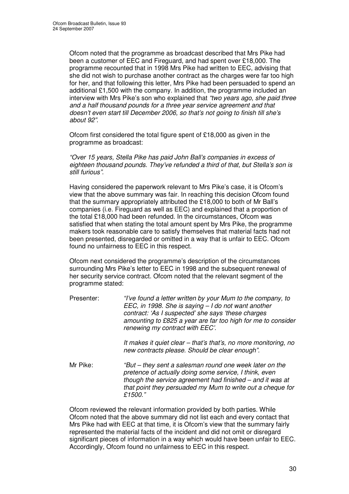Ofcom noted that the programme as broadcast described that Mrs Pike had been a customer of EEC and Fireguard, and had spent over £18,000. The programme recounted that in 1998 Mrs Pike had written to EEC, advising that she did not wish to purchase another contract as the charges were far too high for her, and that following this letter, Mrs Pike had been persuaded to spend an additional £1,500 with the company. In addition, the programme included an interview with Mrs Pike's son who explained that *"two years ago, she paid three and a half thousand pounds for a three year service agreement and that doesn't even start till December 2006, so that's not going to finish till she's about 92"*.

Ofcom first considered the total figure spent of £18,000 as given in the programme as broadcast:

*"Over 15 years, Stella Pike has paid John Ball's companies in excess of eighteen thousand pounds. They've refunded a third of that, but Stella's son is still furious"*.

Having considered the paperwork relevant to Mrs Pike's case, it is Ofcom's view that the above summary was fair. In reaching this decision Ofcom found that the summary appropriately attributed the £18,000 to both of Mr Ball's companies (i.e. Fireguard as well as EEC) and explained that a proportion of the total £18,000 had been refunded. In the circumstances, Ofcom was satisfied that when stating the total amount spent by Mrs Pike, the programme makers took reasonable care to satisfy themselves that material facts had not been presented, disregarded or omitted in a way that is unfair to EEC. Ofcom found no unfairness to EEC in this respect.

Ofcom next considered the programme's description of the circumstances surrounding Mrs Pike's letter to EEC in 1998 and the subsequent renewal of her security service contract. Ofcom noted that the relevant segment of the programme stated:

- Presenter: *"I've found a letter written by your Mum to the company, to EEC, in 1998. She is saying – I do not want another contract: 'As I suspected' she says 'these charges amounting to £825 a year are far too high for me to consider renewing my contract with EEC'. It makes it quiet clear – that's that's, no more monitoring, no new contracts please. Should be clear enough".*
- Mr Pike: *"But – they sent a salesman round one week later on the pretence of actually doing some service, I think, even though the service agreement had finished – and it was at that point they persuaded my Mum to write out a cheque for £1500."*

Ofcom reviewed the relevant information provided by both parties. While Ofcom noted that the above summary did not list each and every contact that Mrs Pike had with EEC at that time, it is Ofcom's view that the summary fairly represented the material facts of the incident and did not omit or disregard significant pieces of information in a way which would have been unfair to EEC. Accordingly, Ofcom found no unfairness to EEC in this respect.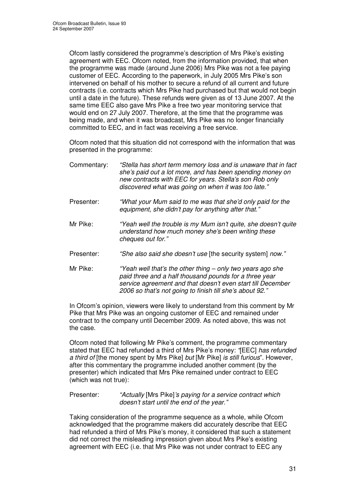Ofcom lastly considered the programme's description of Mrs Pike's existing agreement with EEC. Ofcom noted, from the information provided, that when the programme was made (around June 2006) Mrs Pike was not a fee paying customer of EEC. According to the paperwork, in July 2005 Mrs Pike's son intervened on behalf of his mother to secure a refund of all current and future contracts (i.e. contracts which Mrs Pike had purchased but that would not begin until a date in the future). These refunds were given as of 13 June 2007. At the same time EEC also gave Mrs Pike a free two year monitoring service that would end on 27 July 2007. Therefore, at the time that the programme was being made, and when it was broadcast, Mrs Pike was no longer financially committed to EEC, and in fact was receiving a free service.

Ofcom noted that this situation did not correspond with the information that was presented in the programme:

- Commentary: *"Stella has short term memory loss and is unaware that in fact she's paid out a lot more, and has been spending money on new contracts with EEC for years. Stella's son Rob only discovered what was going on when it was too late."*
- Presenter: *"What your Mum said to me was that she'd only paid for the equipment, she didn't pay for anything after that."*
- Mr Pike: *"Yeah well the trouble is my Mum isn't quite, she doesn't quite understand how much money she's been writing these cheques out for."*
- Presenter: *"She also said she doesn't use* [the security system] *now."*
- Mr Pike: *"Yeah well that's the other thing – only two years ago she paid three and a half thousand pounds for a three year service agreement and that doesn't even start till December 2006 so that's not going to finish till she's about 92."*

In Ofcom's opinion, viewers were likely to understand from this comment by Mr Pike that Mrs Pike was an ongoing customer of EEC and remained under contract to the company until December 2009. As noted above, this was not the case.

Ofcom noted that following Mr Pike's comment, the programme commentary stated that EEC had refunded a third of Mrs Pike's money: *"*[EEC] *has refunded a third of* [the money spent by Mrs Pike] *but* [Mr Pike] *is still furious*". However, after this commentary the programme included another comment (by the presenter) which indicated that Mrs Pike remained under contract to EEC (which was not true):

Presenter: *"Actually* [Mrs Pike]*'s paying for a service contract which doesn't start until the end of the year."*

Taking consideration of the programme sequence as a whole, while Ofcom acknowledged that the programme makers did accurately describe that EEC had refunded a third of Mrs Pike's money, it considered that such a statement did not correct the misleading impression given about Mrs Pike's existing agreement with EEC (i.e. that Mrs Pike was not under contract to EEC any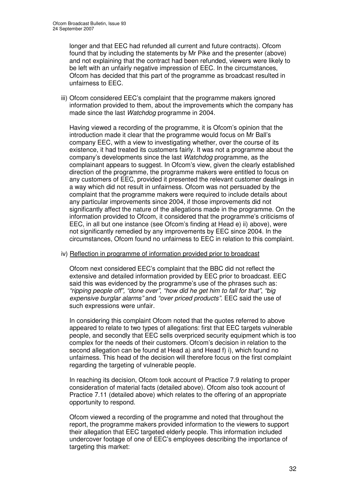longer and that EEC had refunded all current and future contracts). Ofcom found that by including the statements by Mr Pike and the presenter (above) and not explaining that the contract had been refunded, viewers were likely to be left with an unfairly negative impression of EEC. In the circumstances, Ofcom has decided that this part of the programme as broadcast resulted in unfairness to EEC.

iii) Ofcom considered EEC's complaint that the programme makers ignored information provided to them, about the improvements which the company has made since the last *Watchdog* programme in 2004.

Having viewed a recording of the programme, it is Ofcom's opinion that the introduction made it clear that the programme would focus on Mr Ball's company EEC, with a view to investigating whether, over the course of its existence, it had treated its customers fairly. It was not a programme about the company's developments since the last *Watchdog* programme, as the complainant appears to suggest. In Ofcom's view, given the clearly established direction of the programme, the programme makers were entitled to focus on any customers of EEC, provided it presented the relevant customer dealings in a way which did not result in unfairness. Ofcom was not persuaded by the complaint that the programme makers were required to include details about any particular improvements since 2004, if those improvements did not significantly affect the nature of the allegations made in the programme. On the information provided to Ofcom, it considered that the programme's criticisms of EEC, in all but one instance (see Ofcom's finding at Head e) ii) above), were not significantly remedied by any improvements by EEC since 2004. In the circumstances, Ofcom found no unfairness to EEC in relation to this complaint.

### iv) Reflection in programme of information provided prior to broadcast

Ofcom next considered EEC's complaint that the BBC did not reflect the extensive and detailed information provided by EEC prior to broadcast. EEC said this was evidenced by the programme's use of the phrases such as: *"ripping people off", "done over"*, *"how did he get him to fall for that"*, *"big expensive burglar alarms"* and *"over priced products"*. EEC said the use of such expressions were unfair.

In considering this complaint Ofcom noted that the quotes referred to above appeared to relate to two types of allegations: first that EEC targets vulnerable people, and secondly that EEC sells overpriced security equipment which is too complex for the needs of their customers. Ofcom's decision in relation to the second allegation can be found at Head a) and Head f) i), which found no unfairness. This head of the decision will therefore focus on the first complaint regarding the targeting of vulnerable people.

In reaching its decision, Ofcom took account of Practice 7.9 relating to proper consideration of material facts (detailed above). Ofcom also took account of Practice 7.11 (detailed above) which relates to the offering of an appropriate opportunity to respond.

Ofcom viewed a recording of the programme and noted that throughout the report, the programme makers provided information to the viewers to support their allegation that EEC targeted elderly people. This information included undercover footage of one of EEC's employees describing the importance of targeting this market: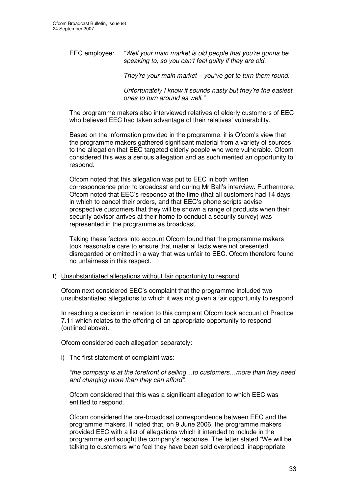EEC employee: *"Well your main market is old people that you're gonna be speaking to, so you can't feel guilty if they are old.*

*They're your main market – you've got to turn them round.*

*Unfortunately I know it sounds nasty but they're the easiest ones to turn around as well."*

The programme makers also interviewed relatives of elderly customers of EEC who believed EEC had taken advantage of their relatives' vulnerability.

Based on the information provided in the programme, it is Ofcom's view that the programme makers gathered significant material from a variety of sources to the allegation that EEC targeted elderly people who were vulnerable. Ofcom considered this was a serious allegation and as such merited an opportunity to respond.

Ofcom noted that this allegation was put to EEC in both written correspondence prior to broadcast and during Mr Ball's interview. Furthermore, Ofcom noted that EEC's response at the time (that all customers had 14 days in which to cancel their orders, and that EEC's phone scripts advise prospective customers that they will be shown a range of products when their security advisor arrives at their home to conduct a security survey) was represented in the programme as broadcast.

Taking these factors into account Ofcom found that the programme makers took reasonable care to ensure that material facts were not presented, disregarded or omitted in a way that was unfair to EEC. Ofcom therefore found no unfairness in this respect.

### f) Unsubstantiated allegations without fair opportunity to respond

Ofcom next considered EEC's complaint that the programme included two unsubstantiated allegations to which it was not given a fair opportunity to respond.

In reaching a decision in relation to this complaint Ofcom took account of Practice 7.11 which relates to the offering of an appropriate opportunity to respond (outlined above).

Ofcom considered each allegation separately:

i) The first statement of complaint was:

*"the company is at the forefront of selling…to customers…more than they need and charging more than they can afford"*.

Ofcom considered that this was a significant allegation to which EEC was entitled to respond.

Ofcom considered the pre-broadcast correspondence between EEC and the programme makers. It noted that, on 9 June 2006, the programme makers provided EEC with a list of allegations which it intended to include in the programme and sought the company's response. The letter stated "We will be talking to customers who feel they have been sold overpriced, inappropriate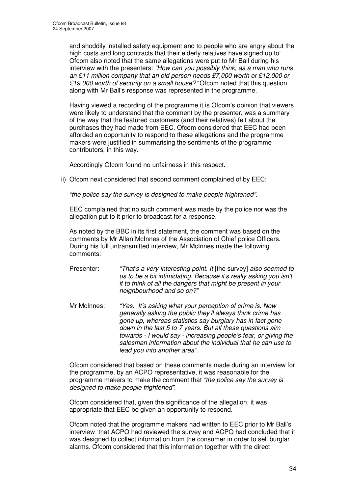and shoddily installed safety equipment and to people who are angry about the high costs and long contracts that their elderly relatives have signed up to". Ofcom also noted that the same allegations were put to Mr Ball during his interview with the presenters: *"How can you possibly think, as a man who runs an £11 million company that an old person needs £7,000 worth or £12,000 or £19,000 worth of security on a small house?"* Ofcom noted that this question along with Mr Ball's response was represented in the programme.

Having viewed a recording of the programme it is Ofcom's opinion that viewers were likely to understand that the comment by the presenter, was a summary of the way that the featured customers (and their relatives) felt about the purchases they had made from EEC. Ofcom considered that EEC had been afforded an opportunity to respond to these allegations and the programme makers were justified in summarising the sentiments of the programme contributors, in this way.

Accordingly Ofcom found no unfairness in this respect.

ii) Ofcom next considered that second comment complained of by EEC:

*"the police say the survey is designed to make people frightened".*

EEC complained that no such comment was made by the police nor was the allegation put to it prior to broadcast for a response.

As noted by the BBC in its first statement, the comment was based on the comments by Mr Allan McInnes of the Association of Chief police Officers. During his full untransmitted interview, Mr McInnes made the following comments:

- Presenter: *"That's a very interesting point. It* [the survey] *also seemed to us to be a bit intimidating. Because it's really asking you isn't it to think of all the dangers that might be present in your neighbourhood and so on?"*
- Mr McInnes: *"Yes. It's asking what your perception of crime is. Now generally asking the public they'll always think crime has gone up, whereas statistics say burglary has in fact gone down in the last 5 to 7 years. But all these questions aim towards - I would say - increasing people's fear, or giving the salesman information about the individual that he can use to lead you into another area".*

Ofcom considered that based on these comments made during an interview for the programme, by an ACPO representative, it was reasonable for the programme makers to make the comment that *"the police say the survey is designed to make people frightened"*.

Ofcom considered that, given the significance of the allegation, it was appropriate that EEC be given an opportunity to respond.

Ofcom noted that the programme makers had written to EEC prior to Mr Ball's interview that ACPO had reviewed the survey and ACPO had concluded that it was designed to collect information from the consumer in order to sell burglar alarms. Ofcom considered that this information together with the direct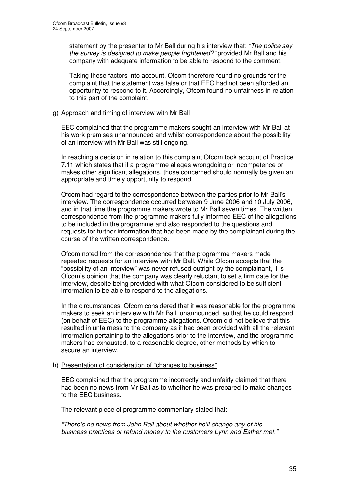statement by the presenter to Mr Ball during his interview that: *"The police say the survey is designed to make people frightened?"* provided Mr Ball and his company with adequate information to be able to respond to the comment.

Taking these factors into account, Ofcom therefore found no grounds for the complaint that the statement was false or that EEC had not been afforded an opportunity to respond to it. Accordingly, Ofcom found no unfairness in relation to this part of the complaint.

# g) Approach and timing of interview with Mr Ball

EEC complained that the programme makers sought an interview with Mr Ball at his work premises unannounced and whilst correspondence about the possibility of an interview with Mr Ball was still ongoing.

In reaching a decision in relation to this complaint Ofcom took account of Practice 7.11 which states that if a programme alleges wrongdoing or incompetence or makes other significant allegations, those concerned should normally be given an appropriate and timely opportunity to respond.

Ofcom had regard to the correspondence between the parties prior to Mr Ball's interview. The correspondence occurred between 9 June 2006 and 10 July 2006, and in that time the programme makers wrote to Mr Ball seven times. The written correspondence from the programme makers fully informed EEC of the allegations to be included in the programme and also responded to the questions and requests for further information that had been made by the complainant during the course of the written correspondence.

Ofcom noted from the correspondence that the programme makers made repeated requests for an interview with Mr Ball. While Ofcom accepts that the "possibility of an interview" was never refused outright by the complainant, it is Ofcom's opinion that the company was clearly reluctant to set a firm date for the interview, despite being provided with what Ofcom considered to be sufficient information to be able to respond to the allegations.

In the circumstances, Ofcom considered that it was reasonable for the programme makers to seek an interview with Mr Ball, unannounced, so that he could respond (on behalf of EEC) to the programme allegations. Ofcom did not believe that this resulted in unfairness to the company as it had been provided with all the relevant information pertaining to the allegations prior to the interview, and the programme makers had exhausted, to a reasonable degree, other methods by which to secure an interview.

# h) Presentation of consideration of "changes to business"

EEC complained that the programme incorrectly and unfairly claimed that there had been no news from Mr Ball as to whether he was prepared to make changes to the EEC business.

The relevant piece of programme commentary stated that:

*"There's no news from John Ball about whether he'll change any of his business practices or refund money to the customers Lynn and Esther met."*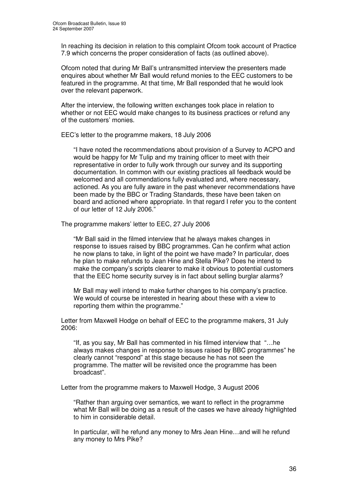In reaching its decision in relation to this complaint Ofcom took account of Practice 7.9 which concerns the proper consideration of facts (as outlined above).

Ofcom noted that during Mr Ball's untransmitted interview the presenters made enquires about whether Mr Ball would refund monies to the EEC customers to be featured in the programme. At that time, Mr Ball responded that he would look over the relevant paperwork.

After the interview, the following written exchanges took place in relation to whether or not EEC would make changes to its business practices or refund any of the customers' monies.

EEC's letter to the programme makers, 18 July 2006

"I have noted the recommendations about provision of a Survey to ACPO and would be happy for Mr Tulip and my training officer to meet with their representative in order to fully work through our survey and its supporting documentation. In common with our existing practices all feedback would be welcomed and all commendations fully evaluated and, where necessary, actioned. As you are fully aware in the past whenever recommendations have been made by the BBC or Trading Standards, these have been taken on board and actioned where appropriate. In that regard I refer you to the content of our letter of 12 July 2006."

The programme makers' letter to EEC, 27 July 2006

"Mr Ball said in the filmed interview that he always makes changes in response to issues raised by BBC programmes. Can he confirm what action he now plans to take, in light of the point we have made? In particular, does he plan to make refunds to Jean Hine and Stella Pike? Does he intend to make the company's scripts clearer to make it obvious to potential customers that the EEC home security survey is in fact about selling burglar alarms?

Mr Ball may well intend to make further changes to his company's practice. We would of course be interested in hearing about these with a view to reporting them within the programme."

Letter from Maxwell Hodge on behalf of EEC to the programme makers, 31 July 2006:

"If, as you say, Mr Ball has commented in his filmed interview that "…he always makes changes in response to issues raised by BBC programmes" he clearly cannot "respond" at this stage because he has not seen the programme. The matter will be revisited once the programme has been broadcast".

Letter from the programme makers to Maxwell Hodge, 3 August 2006

"Rather than arguing over semantics, we want to reflect in the programme what Mr Ball will be doing as a result of the cases we have already highlighted to him in considerable detail.

In particular, will he refund any money to Mrs Jean Hine…and will he refund any money to Mrs Pike?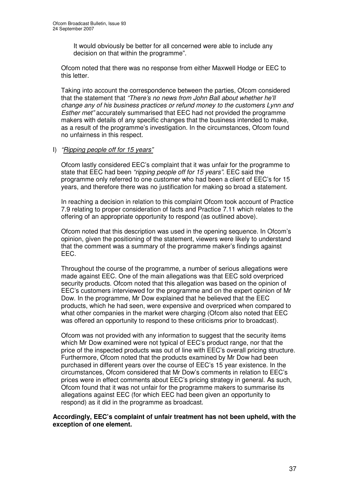It would obviously be better for all concerned were able to include any decision on that within the programme".

Ofcom noted that there was no response from either Maxwell Hodge or EEC to this letter.

Taking into account the correspondence between the parties, Ofcom considered that the statement that *"There's no news from John Ball about whether he'll change any of his business practices or refund money to the customers Lynn and Esther met"* accurately summarised that EEC had not provided the programme makers with details of any specific changes that the business intended to make, as a result of the programme's investigation. In the circumstances, Ofcom found no unfairness in this respect.

## I) *"Ripping people off for 15 years"*

Ofcom lastly considered EEC's complaint that it was unfair for the programme to state that EEC had been *"ripping people off for 15 years"*. EEC said the programme only referred to one customer who had been a client of EEC's for 15 years, and therefore there was no justification for making so broad a statement.

In reaching a decision in relation to this complaint Ofcom took account of Practice 7.9 relating to proper consideration of facts and Practice 7.11 which relates to the offering of an appropriate opportunity to respond (as outlined above).

Ofcom noted that this description was used in the opening sequence. In Ofcom's opinion, given the positioning of the statement, viewers were likely to understand that the comment was a summary of the programme maker's findings against EEC.

Throughout the course of the programme, a number of serious allegations were made against EEC. One of the main allegations was that EEC sold overpriced security products. Ofcom noted that this allegation was based on the opinion of EEC's customers interviewed for the programme and on the expert opinion of Mr Dow. In the programme, Mr Dow explained that he believed that the EEC products, which he had seen, were expensive and overpriced when compared to what other companies in the market were charging (Ofcom also noted that EEC was offered an opportunity to respond to these criticisms prior to broadcast).

Ofcom was not provided with any information to suggest that the security items which Mr Dow examined were not typical of EEC's product range, nor that the price of the inspected products was out of line with EEC's overall pricing structure. Furthermore, Ofcom noted that the products examined by Mr Dow had been purchased in different years over the course of EEC's 15 year existence. In the circumstances, Ofcom considered that Mr Dow's comments in relation to EEC's prices were in effect comments about EEC's pricing strategy in general. As such, Ofcom found that it was not unfair for the programme makers to summarise its allegations against EEC (for which EEC had been given an opportunity to respond) as it did in the programme as broadcast.

#### **Accordingly, EEC's complaint of unfair treatment has not been upheld, with the exception of one element.**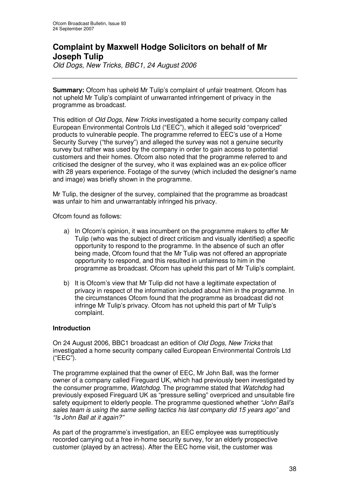# **Complaint by Maxwell Hodge Solicitors on behalf of Mr Joseph Tulip**

*Old Dogs, New Tricks, BBC1, 24 August 2006*

**Summary:** Ofcom has upheld Mr Tulip's complaint of unfair treatment. Ofcom has not upheld Mr Tulip's complaint of unwarranted infringement of privacy in the programme as broadcast.

This edition of *Old Dogs, New Tricks* investigated a home security company called European Environmental Controls Ltd ("EEC"), which it alleged sold "overpriced" products to vulnerable people. The programme referred to EEC's use of a Home Security Survey ("the survey") and alleged the survey was not a genuine security survey but rather was used by the company in order to gain access to potential customers and their homes. Ofcom also noted that the programme referred to and criticised the designer of the survey, who it was explained was an ex-police officer with 28 years experience. Footage of the survey (which included the designer's name and image) was briefly shown in the programme.

Mr Tulip, the designer of the survey, complained that the programme as broadcast was unfair to him and unwarrantably infringed his privacy.

Ofcom found as follows:

- a) In Ofcom's opinion, it was incumbent on the programme makers to offer Mr Tulip (who was the subject of direct criticism and visually identified) a specific opportunity to respond to the programme. In the absence of such an offer being made, Ofcom found that the Mr Tulip was not offered an appropriate opportunity to respond, and this resulted in unfairness to him in the programme as broadcast. Ofcom has upheld this part of Mr Tulip's complaint.
- b) It is Ofcom's view that Mr Tulip did not have a legitimate expectation of privacy in respect of the information included about him in the programme. In the circumstances Ofcom found that the programme as broadcast did not infringe Mr Tulip's privacy. Ofcom has not upheld this part of Mr Tulip's complaint.

## **Introduction**

On 24 August 2006, BBC1 broadcast an edition of *Old Dogs, New Tricks* that investigated a home security company called European Environmental Controls Ltd ("EEC").

The programme explained that the owner of EEC, Mr John Ball, was the former owner of a company called Fireguard UK, which had previously been investigated by the consumer programme, *Watchdog*. The programme stated that *Watchdog* had previously exposed Fireguard UK as "pressure selling" overpriced and unsuitable fire safety equipment to elderly people. The programme questioned whether *"John Ball's sales team is using the same selling tactics his last company did 15 years ago"* and *"Is John Ball at it again?"*

As part of the programme's investigation, an EEC employee was surreptitiously recorded carrying out a free in-home security survey, for an elderly prospective customer (played by an actress). After the EEC home visit, the customer was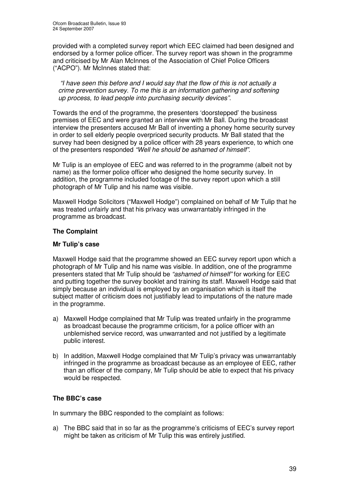provided with a completed survey report which EEC claimed had been designed and endorsed by a former police officer. The survey report was shown in the programme and criticised by Mr Alan McInnes of the Association of Chief Police Officers ("ACPO"). Mr McInnes stated that:

*"I have seen this before and I would say that the flow of this is not actually a crime prevention survey. To me this is an information gathering and softening up process, to lead people into purchasing security devices".*

Towards the end of the programme, the presenters 'doorstepped' the business premises of EEC and were granted an interview with Mr Ball. During the broadcast interview the presenters accused Mr Ball of inventing a phoney home security survey in order to sell elderly people overpriced security products. Mr Ball stated that the survey had been designed by a police officer with 28 years experience, to which one of the presenters responded *"Well he should be ashamed of himself"*.

Mr Tulip is an employee of EEC and was referred to in the programme (albeit not by name) as the former police officer who designed the home security survey. In addition, the programme included footage of the survey report upon which a still photograph of Mr Tulip and his name was visible.

Maxwell Hodge Solicitors ("Maxwell Hodge") complained on behalf of Mr Tulip that he was treated unfairly and that his privacy was unwarrantably infringed in the programme as broadcast.

# **The Complaint**

# **Mr Tulip's case**

Maxwell Hodge said that the programme showed an EEC survey report upon which a photograph of Mr Tulip and his name was visible. In addition, one of the programme presenters stated that Mr Tulip should be *"ashamed of himself"* for working for EEC and putting together the survey booklet and training its staff. Maxwell Hodge said that simply because an individual is employed by an organisation which is itself the subject matter of criticism does not justifiably lead to imputations of the nature made in the programme.

- a) Maxwell Hodge complained that Mr Tulip was treated unfairly in the programme as broadcast because the programme criticism, for a police officer with an unblemished service record, was unwarranted and not justified by a legitimate public interest.
- b) In addition, Maxwell Hodge complained that Mr Tulip's privacy was unwarrantably infringed in the programme as broadcast because as an employee of EEC, rather than an officer of the company, Mr Tulip should be able to expect that his privacy would be respected.

# **The BBC's case**

In summary the BBC responded to the complaint as follows:

a) The BBC said that in so far as the programme's criticisms of EEC's survey report might be taken as criticism of Mr Tulip this was entirely justified.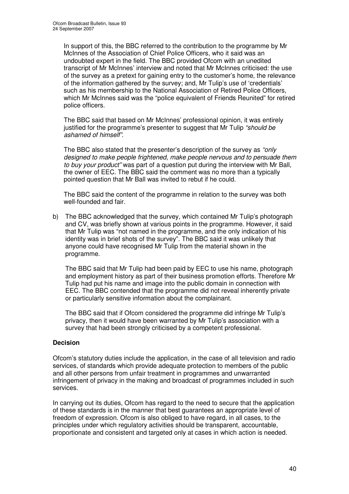In support of this, the BBC referred to the contribution to the programme by Mr McInnes of the Association of Chief Police Officers, who it said was an undoubted expert in the field. The BBC provided Ofcom with an unedited transcript of Mr McInnes' interview and noted that Mr McInnes criticised: the use of the survey as a pretext for gaining entry to the customer's home, the relevance of the information gathered by the survey; and, Mr Tulip's use of 'credentials' such as his membership to the National Association of Retired Police Officers, which Mr McInnes said was the "police equivalent of Friends Reunited" for retired police officers.

The BBC said that based on Mr McInnes' professional opinion, it was entirely justified for the programme's presenter to suggest that Mr Tulip *"should be ashamed of himself"*.

The BBC also stated that the presenter's description of the survey as *"only designed to make people frightened, make people nervous and to persuade them to buy your product"* was part of a question put during the interview with Mr Ball, the owner of EEC. The BBC said the comment was no more than a typically pointed question that Mr Ball was invited to rebut if he could.

The BBC said the content of the programme in relation to the survey was both well-founded and fair.

b) The BBC acknowledged that the survey, which contained Mr Tulip's photograph and CV, was briefly shown at various points in the programme. However, it said that Mr Tulip was "not named in the programme, and the only indication of his identity was in brief shots of the survey". The BBC said it was unlikely that anyone could have recognised Mr Tulip from the material shown in the programme.

The BBC said that Mr Tulip had been paid by EEC to use his name, photograph and employment history as part of their business promotion efforts. Therefore Mr Tulip had put his name and image into the public domain in connection with EEC. The BBC contended that the programme did not reveal inherently private or particularly sensitive information about the complainant.

The BBC said that if Ofcom considered the programme did infringe Mr Tulip's privacy, then it would have been warranted by Mr Tulip's association with a survey that had been strongly criticised by a competent professional.

## **Decision**

Ofcom's statutory duties include the application, in the case of all television and radio services, of standards which provide adequate protection to members of the public and all other persons from unfair treatment in programmes and unwarranted infringement of privacy in the making and broadcast of programmes included in such services.

In carrying out its duties, Ofcom has regard to the need to secure that the application of these standards is in the manner that best guarantees an appropriate level of freedom of expression. Ofcom is also obliged to have regard, in all cases, to the principles under which regulatory activities should be transparent, accountable, proportionate and consistent and targeted only at cases in which action is needed.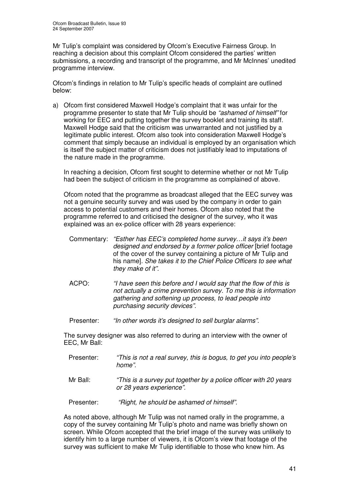Mr Tulip's complaint was considered by Ofcom's Executive Fairness Group. In reaching a decision about this complaint Ofcom considered the parties' written submissions, a recording and transcript of the programme, and Mr McInnes' unedited programme interview.

Ofcom's findings in relation to Mr Tulip's specific heads of complaint are outlined below:

a) Ofcom first considered Maxwell Hodge's complaint that it was unfair for the programme presenter to state that Mr Tulip should be *"ashamed of himself"* for working for EEC and putting together the survey booklet and training its staff. Maxwell Hodge said that the criticism was unwarranted and not justified by a legitimate public interest. Ofcom also took into consideration Maxwell Hodge's comment that simply because an individual is employed by an organisation which is itself the subject matter of criticism does not justifiably lead to imputations of the nature made in the programme.

In reaching a decision, Ofcom first sought to determine whether or not Mr Tulip had been the subject of criticism in the programme as complained of above.

Ofcom noted that the programme as broadcast alleged that the EEC survey was not a genuine security survey and was used by the company in order to gain access to potential customers and their homes. Ofcom also noted that the programme referred to and criticised the designer of the survey, who it was explained was an ex-police officer with 28 years experience:

- Commentary: *"Esther has EEC's completed home survey…it says it's been designed and endorsed by a former police officer* [brief footage of the cover of the survey containing a picture of Mr Tulip and his name]*. She takes it to the Chief Police Officers to see what they make of it".*
- ACPO: *"I have seen this before and I would say that the flow of this is not actually a crime prevention survey. To me this is information gathering and softening up process, to lead people into purchasing security devices".*
- Presenter: *"In other words it's designed to sell burglar alarms".*

The survey designer was also referred to during an interview with the owner of EEC, Mr Ball:

- Presenter: *"This is not a real survey, this is bogus, to get you into people's home".*
- Mr Ball: *"This is a survey put together by a police officer with 20 years or 28 years experience".*

Presenter: *"Right, he should be ashamed of himself".*

As noted above, although Mr Tulip was not named orally in the programme, a copy of the survey containing Mr Tulip's photo and name was briefly shown on screen. While Ofcom accepted that the brief image of the survey was unlikely to identify him to a large number of viewers, it is Ofcom's view that footage of the survey was sufficient to make Mr Tulip identifiable to those who knew him. As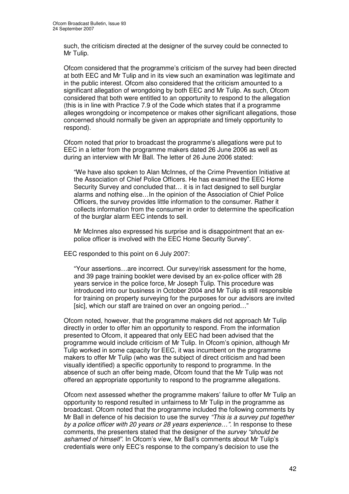such, the criticism directed at the designer of the survey could be connected to Mr Tulip.

Ofcom considered that the programme's criticism of the survey had been directed at both EEC and Mr Tulip and in its view such an examination was legitimate and in the public interest. Ofcom also considered that the criticism amounted to a significant allegation of wrongdoing by both EEC and Mr Tulip. As such, Ofcom considered that both were entitled to an opportunity to respond to the allegation (this is in line with Practice 7.9 of the Code which states that if a programme alleges wrongdoing or incompetence or makes other significant allegations, those concerned should normally be given an appropriate and timely opportunity to respond).

Ofcom noted that prior to broadcast the programme's allegations were put to EEC in a letter from the programme makers dated 26 June 2006 as well as during an interview with Mr Ball. The letter of 26 June 2006 stated:

"We have also spoken to Alan McInnes, of the Crime Prevention Initiative at the Association of Chief Police Officers. He has examined the EEC Home Security Survey and concluded that… it is in fact designed to sell burglar alarms and nothing else…In the opinion of the Association of Chief Police Officers, the survey provides little information to the consumer. Rather it collects information from the consumer in order to determine the specification of the burglar alarm EEC intends to sell.

Mr McInnes also expressed his surprise and is disappointment that an expolice officer is involved with the EEC Home Security Survey".

EEC responded to this point on 6 July 2007:

"Your assertions…are incorrect. Our survey/risk assessment for the home, and 39 page training booklet were devised by an ex-police officer with 28 years service in the police force, Mr Joseph Tulip. This procedure was introduced into our business in October 2004 and Mr Tulip is still responsible for training on property surveying for the purposes for our advisors are invited [sic], which our staff are trained on over an ongoing period..."

Ofcom noted, however, that the programme makers did not approach Mr Tulip directly in order to offer him an opportunity to respond. From the information presented to Ofcom, it appeared that only EEC had been advised that the programme would include criticism of Mr Tulip. In Ofcom's opinion, although Mr Tulip worked in some capacity for EEC, it was incumbent on the programme makers to offer Mr Tulip (who was the subject of direct criticism and had been visually identified) a specific opportunity to respond to programme. In the absence of such an offer being made, Ofcom found that the Mr Tulip was not offered an appropriate opportunity to respond to the programme allegations.

Ofcom next assessed whether the programme makers' failure to offer Mr Tulip an opportunity to respond resulted in unfairness to Mr Tulip in the programme as broadcast. Ofcom noted that the programme included the following comments by Mr Ball in defence of his decision to use the survey *"This is a survey put together by a police officer with 20 years or 28 years experience…".* In response to these comments, the presenters stated that the designer of the *survey "should be ashamed of himself"*. In Ofcom's view, Mr Ball's comments about Mr Tulip's credentials were only EEC's response to the company's decision to use the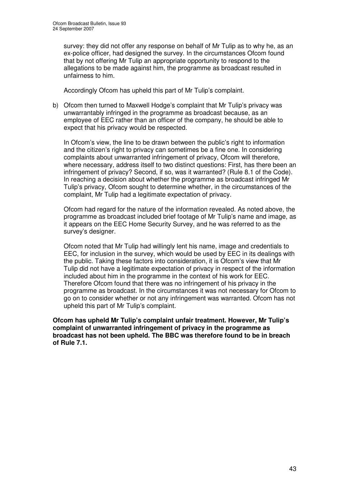survey: they did not offer any response on behalf of Mr Tulip as to why he, as an ex-police officer, had designed the survey. In the circumstances Ofcom found that by not offering Mr Tulip an appropriate opportunity to respond to the allegations to be made against him, the programme as broadcast resulted in unfairness to him.

Accordingly Ofcom has upheld this part of Mr Tulip's complaint.

b) Ofcom then turned to Maxwell Hodge's complaint that Mr Tulip's privacy was unwarrantably infringed in the programme as broadcast because, as an employee of EEC rather than an officer of the company, he should be able to expect that his privacy would be respected.

In Ofcom's view, the line to be drawn between the public's right to information and the citizen's right to privacy can sometimes be a fine one. In considering complaints about unwarranted infringement of privacy, Ofcom will therefore, where necessary, address itself to two distinct questions: First, has there been an infringement of privacy? Second, if so, was it warranted? (Rule 8.1 of the Code). In reaching a decision about whether the programme as broadcast infringed Mr Tulip's privacy, Ofcom sought to determine whether, in the circumstances of the complaint, Mr Tulip had a legitimate expectation of privacy.

Ofcom had regard for the nature of the information revealed. As noted above, the programme as broadcast included brief footage of Mr Tulip's name and image, as it appears on the EEC Home Security Survey, and he was referred to as the survey's designer.

Ofcom noted that Mr Tulip had willingly lent his name, image and credentials to EEC, for inclusion in the survey, which would be used by EEC in its dealings with the public. Taking these factors into consideration, it is Ofcom's view that Mr Tulip did not have a legitimate expectation of privacy in respect of the information included about him in the programme in the context of his work for EEC. Therefore Ofcom found that there was no infringement of his privacy in the programme as broadcast. In the circumstances it was not necessary for Ofcom to go on to consider whether or not any infringement was warranted. Ofcom has not upheld this part of Mr Tulip's complaint.

**Ofcom has upheld Mr Tulip's complaint unfair treatment. However, Mr Tulip's complaint of unwarranted infringement of privacy in the programme as broadcast has not been upheld. The BBC was therefore found to be in breach of Rule 7.1.**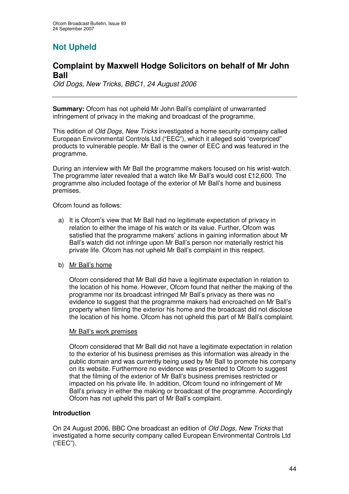# **Not Upheld**

# **Complaint by Maxwell Hodge Solicitors on behalf of Mr John Ball**

*Old Dogs, New Tricks, BBC1, 24 August 2006*

**Summary:** Ofcom has not upheld Mr John Ball's complaint of unwarranted infringement of privacy in the making and broadcast of the programme.

This edition of *Old Dogs, New Tricks* investigated a home security company called European Environmental Controls Ltd ("EEC"), which it alleged sold "overpriced" products to vulnerable people. Mr Ball is the owner of EEC and was featured in the programme.

During an interview with Mr Ball the programme makers focused on his wrist-watch. The programme later revealed that a watch like Mr Ball's would cost £12,600. The programme also included footage of the exterior of Mr Ball's home and business premises.

Ofcom found as follows:

a) It is Ofcom's view that Mr Ball had no legitimate expectation of privacy in relation to either the image of his watch or its value. Further, Ofcom was satisfied that the programme makers' actions in gaining information about Mr Ball's watch did not infringe upon Mr Ball's person nor materially restrict his private life. Ofcom has not upheld Mr Ball's complaint in this respect.

## b) Mr Ball's home

Ofcom considered that Mr Ball did have a legitimate expectation in relation to the location of his home. However, Ofcom found that neither the making of the programme nor its broadcast infringed Mr Ball's privacy as there was no evidence to suggest that the programme makers had encroached on Mr Ball's property when filming the exterior his home and the broadcast did not disclose the location of his home. Ofcom has not upheld this part of Mr Ball's complaint.

#### Mr Ball's work premises

Ofcom considered that Mr Ball did not have a legitimate expectation in relation to the exterior of his business premises as this information was already in the public domain and was currently being used by Mr Ball to promote his company on its website. Furthermore no evidence was presented to Ofcom to suggest that the filming of the exterior of Mr Ball's business premises restricted or impacted on his private life. In addition, Ofcom found no infringement of Mr Ball's privacy in either the making or broadcast of the programme. Accordingly Ofcom has not upheld this part of Mr Ball's complaint.

#### **Introduction**

On 24 August 2006, BBC One broadcast an edition of *Old Dogs, New Tricks* that investigated a home security company called European Environmental Controls Ltd ("EEC").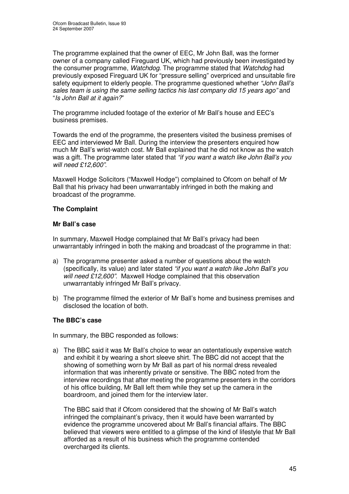The programme explained that the owner of EEC, Mr John Ball, was the former owner of a company called Fireguard UK, which had previously been investigated by the consumer programme, *Watchdog*. The programme stated that *Watchdog* had previously exposed Fireguard UK for "pressure selling" overpriced and unsuitable fire safety equipment to elderly people. The programme questioned whether *"John Ball's sales team is using the same selling tactics his last company did 15 years ago"* and "*Is John Ball at it again?*"

The programme included footage of the exterior of Mr Ball's house and EEC's business premises.

Towards the end of the programme, the presenters visited the business premises of EEC and interviewed Mr Ball. During the interview the presenters enquired how much Mr Ball's wrist-watch cost. Mr Ball explained that he did not know as the watch was a gift. The programme later stated that *"if you want a watch like John Ball's you will need £12,600"*.

Maxwell Hodge Solicitors ("Maxwell Hodge") complained to Ofcom on behalf of Mr Ball that his privacy had been unwarrantably infringed in both the making and broadcast of the programme.

# **The Complaint**

# **Mr Ball's case**

In summary, Maxwell Hodge complained that Mr Ball's privacy had been unwarrantably infringed in both the making and broadcast of the programme in that:

- a) The programme presenter asked a number of questions about the watch (specifically, its value) and later stated *"if you want a watch like John Ball's you will need £12,600"*. Maxwell Hodge complained that this observation unwarrantably infringed Mr Ball's privacy.
- b) The programme filmed the exterior of Mr Ball's home and business premises and disclosed the location of both.

# **The BBC's case**

In summary, the BBC responded as follows:

a) The BBC said it was Mr Ball's choice to wear an ostentatiously expensive watch and exhibit it by wearing a short sleeve shirt. The BBC did not accept that the showing of something worn by Mr Ball as part of his normal dress revealed information that was inherently private or sensitive. The BBC noted from the interview recordings that after meeting the programme presenters in the corridors of his office building, Mr Ball left them while they set up the camera in the boardroom, and joined them for the interview later.

The BBC said that if Ofcom considered that the showing of Mr Ball's watch infringed the complainant's privacy, then it would have been warranted by evidence the programme uncovered about Mr Ball's financial affairs. The BBC believed that viewers were entitled to a glimpse of the kind of lifestyle that Mr Ball afforded as a result of his business which the programme contended overcharged its clients.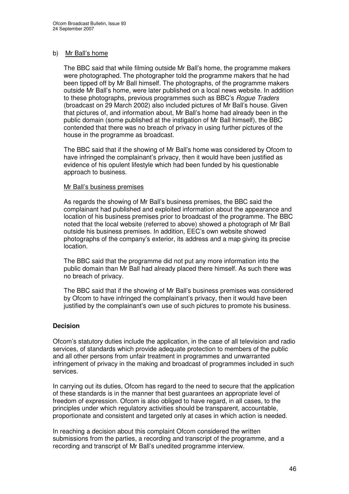# b) Mr Ball's home

The BBC said that while filming outside Mr Ball's home, the programme makers were photographed. The photographer told the programme makers that he had been tipped off by Mr Ball himself. The photographs, of the programme makers outside Mr Ball's home, were later published on a local news website. In addition to these photographs, previous programmes such as BBC's *Rogue Traders* (broadcast on 29 March 2002) also included pictures of Mr Ball's house. Given that pictures of, and information about, Mr Ball's home had already been in the public domain (some published at the instigation of Mr Ball himself), the BBC contended that there was no breach of privacy in using further pictures of the house in the programme as broadcast.

The BBC said that if the showing of Mr Ball's home was considered by Ofcom to have infringed the complainant's privacy, then it would have been justified as evidence of his opulent lifestyle which had been funded by his questionable approach to business.

#### Mr Ball's business premises

As regards the showing of Mr Ball's business premises, the BBC said the complainant had published and exploited information about the appearance and location of his business premises prior to broadcast of the programme. The BBC noted that the local website (referred to above) showed a photograph of Mr Ball outside his business premises. In addition, EEC's own website showed photographs of the company's exterior, its address and a map giving its precise location.

The BBC said that the programme did not put any more information into the public domain than Mr Ball had already placed there himself. As such there was no breach of privacy.

The BBC said that if the showing of Mr Ball's business premises was considered by Ofcom to have infringed the complainant's privacy, then it would have been justified by the complainant's own use of such pictures to promote his business.

## **Decision**

Ofcom's statutory duties include the application, in the case of all television and radio services, of standards which provide adequate protection to members of the public and all other persons from unfair treatment in programmes and unwarranted infringement of privacy in the making and broadcast of programmes included in such services.

In carrying out its duties, Ofcom has regard to the need to secure that the application of these standards is in the manner that best guarantees an appropriate level of freedom of expression. Ofcom is also obliged to have regard, in all cases, to the principles under which regulatory activities should be transparent, accountable, proportionate and consistent and targeted only at cases in which action is needed.

In reaching a decision about this complaint Ofcom considered the written submissions from the parties, a recording and transcript of the programme, and a recording and transcript of Mr Ball's unedited programme interview.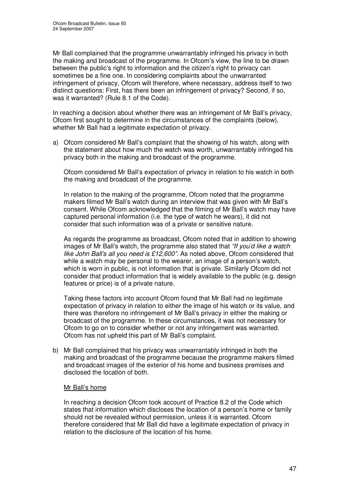Mr Ball complained that the programme unwarrantably infringed his privacy in both the making and broadcast of the programme. In Ofcom's view, the line to be drawn between the public's right to information and the citizen's right to privacy can sometimes be a fine one. In considering complaints about the unwarranted infringement of privacy, Ofcom will therefore, where necessary, address itself to two distinct questions: First, has there been an infringement of privacy? Second, if so, was it warranted? (Rule 8.1 of the Code).

In reaching a decision about whether there was an infringement of Mr Ball's privacy, Ofcom first sought to determine in the circumstances of the complaints (below), whether Mr Ball had a legitimate expectation of privacy.

a) Ofcom considered Mr Ball's complaint that the showing of his watch, along with the statement about how much the watch was worth, unwarrantably infringed his privacy both in the making and broadcast of the programme.

Ofcom considered Mr Ball's expectation of privacy in relation to his watch in both the making and broadcast of the programme.

In relation to the making of the programme, Ofcom noted that the programme makers filmed Mr Ball's watch during an interview that was given with Mr Ball's consent. While Ofcom acknowledged that the filming of Mr Ball's watch may have captured personal information (i.e. the type of watch he wears), it did not consider that such information was of a private or sensitive nature.

As regards the programme as broadcast, Ofcom noted that in addition to showing images of Mr Ball's watch, the programme also stated that *"If you'd like a watch like John Ball's all you need is £12,600"*. As noted above, Ofcom considered that while a watch may be personal to the wearer, an image of a person's watch, which is worn in public, is not information that is private. Similarly Ofcom did not consider that product information that is widely available to the public (e.g. design features or price) is of a private nature.

Taking these factors into account Ofcom found that Mr Ball had no legitimate expectation of privacy in relation to either the image of his watch or its value, and there was therefore no infringement of Mr Ball's privacy in either the making or broadcast of the programme. In these circumstances, it was not necessary for Ofcom to go on to consider whether or not any infringement was warranted. Ofcom has not upheld this part of Mr Ball's complaint.

b) Mr Ball complained that his privacy was unwarrantably infringed in both the making and broadcast of the programme because the programme makers filmed and broadcast images of the exterior of his home and business premises and disclosed the location of both.

## Mr Ball's home

In reaching a decision Ofcom took account of Practice 8.2 of the Code which states that information which discloses the location of a person's home or family should not be revealed without permission, unless it is warranted. Ofcom therefore considered that Mr Ball did have a legitimate expectation of privacy in relation to the disclosure of the location of his home.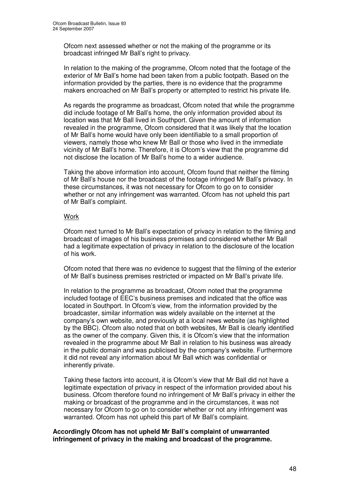Ofcom next assessed whether or not the making of the programme or its broadcast infringed Mr Ball's right to privacy.

In relation to the making of the programme, Ofcom noted that the footage of the exterior of Mr Ball's home had been taken from a public footpath. Based on the information provided by the parties, there is no evidence that the programme makers encroached on Mr Ball's property or attempted to restrict his private life.

As regards the programme as broadcast, Ofcom noted that while the programme did include footage of Mr Ball's home, the only information provided about its location was that Mr Ball lived in Southport. Given the amount of information revealed in the programme, Ofcom considered that it was likely that the location of Mr Ball's home would have only been identifiable to a small proportion of viewers, namely those who knew Mr Ball or those who lived in the immediate vicinity of Mr Ball's home. Therefore, it is Ofcom's view that the programme did not disclose the location of Mr Ball's home to a wider audience.

Taking the above information into account, Ofcom found that neither the filming of Mr Ball's house nor the broadcast of the footage infringed Mr Ball's privacy. In these circumstances, it was not necessary for Ofcom to go on to consider whether or not any infringement was warranted. Ofcom has not upheld this part of Mr Ball's complaint.

## **Work**

Ofcom next turned to Mr Ball's expectation of privacy in relation to the filming and broadcast of images of his business premises and considered whether Mr Ball had a legitimate expectation of privacy in relation to the disclosure of the location of his work.

Ofcom noted that there was no evidence to suggest that the filming of the exterior of Mr Ball's business premises restricted or impacted on Mr Ball's private life.

In relation to the programme as broadcast, Ofcom noted that the programme included footage of EEC's business premises and indicated that the office was located in Southport. In Ofcom's view, from the information provided by the broadcaster, similar information was widely available on the internet at the company's own website, and previously at a local news website (as highlighted by the BBC). Ofcom also noted that on both websites, Mr Ball is clearly identified as the owner of the company. Given this, it is Ofcom's view that the information revealed in the programme about Mr Ball in relation to his business was already in the public domain and was publicised by the company's website. Furthermore it did not reveal any information about Mr Ball which was confidential or inherently private.

Taking these factors into account, it is Ofcom's view that Mr Ball did not have a legitimate expectation of privacy in respect of the information provided about his business. Ofcom therefore found no infringement of Mr Ball's privacy in either the making or broadcast of the programme and in the circumstances, it was not necessary for Ofcom to go on to consider whether or not any infringement was warranted. Ofcom has not upheld this part of Mr Ball's complaint.

#### **Accordingly Ofcom has not upheld Mr Ball's complaint of unwarranted infringement of privacy in the making and broadcast of the programme.**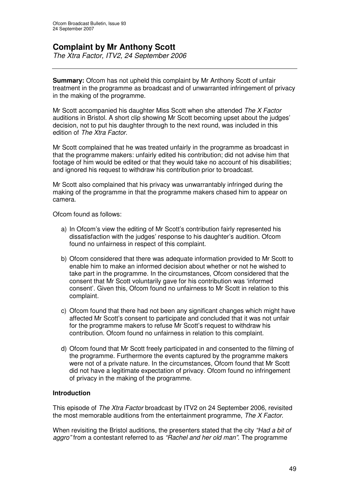# **Complaint by Mr Anthony Scott**

*The Xtra Factor, ITV2, 24 September 2006*

**Summary:** Ofcom has not upheld this complaint by Mr Anthony Scott of unfair treatment in the programme as broadcast and of unwarranted infringement of privacy in the making of the programme.

Mr Scott accompanied his daughter Miss Scott when she attended *The X Factor* auditions in Bristol. A short clip showing Mr Scott becoming upset about the judges' decision, not to put his daughter through to the next round, was included in this edition of *The Xtra Factor*.

Mr Scott complained that he was treated unfairly in the programme as broadcast in that the programme makers: unfairly edited his contribution; did not advise him that footage of him would be edited or that they would take no account of his disabilities; and ignored his request to withdraw his contribution prior to broadcast.

Mr Scott also complained that his privacy was unwarrantably infringed during the making of the programme in that the programme makers chased him to appear on camera.

Ofcom found as follows:

- a) In Ofcom's view the editing of Mr Scott's contribution fairly represented his dissatisfaction with the judges' response to his daughter's audition. Ofcom found no unfairness in respect of this complaint.
- b) Ofcom considered that there was adequate information provided to Mr Scott to enable him to make an informed decision about whether or not he wished to take part in the programme. In the circumstances, Ofcom considered that the consent that Mr Scott voluntarily gave for his contribution was 'informed consent'. Given this, Ofcom found no unfairness to Mr Scott in relation to this complaint.
- c) Ofcom found that there had not been any significant changes which might have affected Mr Scott's consent to participate and concluded that it was not unfair for the programme makers to refuse Mr Scott's request to withdraw his contribution. Ofcom found no unfairness in relation to this complaint.
- d) Ofcom found that Mr Scott freely participated in and consented to the filming of the programme. Furthermore the events captured by the programme makers were not of a private nature. In the circumstances, Ofcom found that Mr Scott did not have a legitimate expectation of privacy. Ofcom found no infringement of privacy in the making of the programme.

## **Introduction**

This episode of *The Xtra Factor* broadcast by ITV2 on 24 September 2006, revisited the most memorable auditions from the entertainment programme, *The X Factor*.

When revisiting the Bristol auditions, the presenters stated that the city *"Had a bit of aggro"* from a contestant referred to as *"Rachel and her old man".* The programme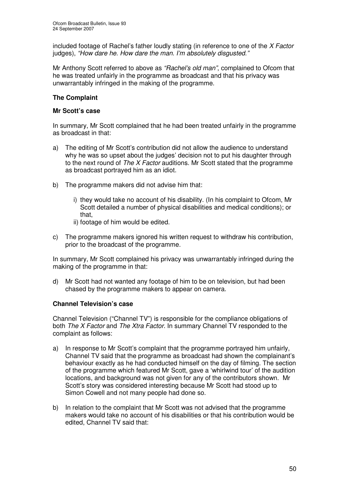included footage of Rachel's father loudly stating (in reference to one of the *X Factor* judges), *"How dare he. How dare the man. I'm absolutely disgusted."*

Mr Anthony Scott referred to above as *"Rachel's old man"*, complained to Ofcom that he was treated unfairly in the programme as broadcast and that his privacy was unwarrantably infringed in the making of the programme.

# **The Complaint**

#### **Mr Scott's case**

In summary, Mr Scott complained that he had been treated unfairly in the programme as broadcast in that:

- a) The editing of Mr Scott's contribution did not allow the audience to understand why he was so upset about the judges' decision not to put his daughter through to the next round of *The X Factor* auditions. Mr Scott stated that the programme as broadcast portrayed him as an idiot.
- b) The programme makers did not advise him that:
	- i) they would take no account of his disability. (In his complaint to Ofcom, Mr Scott detailed a number of physical disabilities and medical conditions); or that,
	- ii) footage of him would be edited.
- c) The programme makers ignored his written request to withdraw his contribution, prior to the broadcast of the programme.

In summary, Mr Scott complained his privacy was unwarrantably infringed during the making of the programme in that:

d) Mr Scott had not wanted any footage of him to be on television, but had been chased by the programme makers to appear on camera.

## **Channel Television's case**

Channel Television ("Channel TV") is responsible for the compliance obligations of both *The X Factor* and *The Xtra Factor*. In summary Channel TV responded to the complaint as follows:

- a) In response to Mr Scott's complaint that the programme portrayed him unfairly, Channel TV said that the programme as broadcast had shown the complainant's behaviour exactly as he had conducted himself on the day of filming. The section of the programme which featured Mr Scott, gave a 'whirlwind tour' of the audition locations, and background was not given for any of the contributors shown. Mr Scott's story was considered interesting because Mr Scott had stood up to Simon Cowell and not many people had done so.
- b) In relation to the complaint that Mr Scott was not advised that the programme makers would take no account of his disabilities or that his contribution would be edited, Channel TV said that: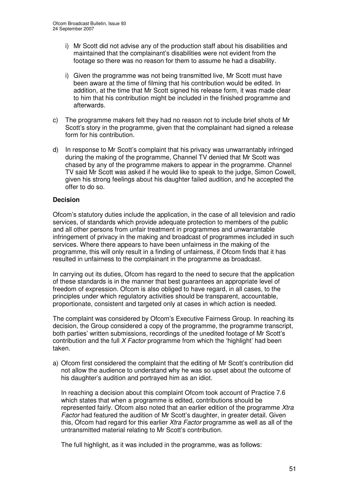- i) Mr Scott did not advise any of the production staff about his disabilities and maintained that the complainant's disabilities were not evident from the footage so there was no reason for them to assume he had a disability.
- i) Given the programme was not being transmitted live, Mr Scott must have been aware at the time of filming that his contribution would be edited. In addition, at the time that Mr Scott signed his release form, it was made clear to him that his contribution might be included in the finished programme and afterwards.
- c) The programme makers felt they had no reason not to include brief shots of Mr Scott's story in the programme, given that the complainant had signed a release form for his contribution.
- d) In response to Mr Scott's complaint that his privacy was unwarrantably infringed during the making of the programme, Channel TV denied that Mr Scott was chased by any of the programme makers to appear in the programme. Channel TV said Mr Scott was asked if he would like to speak to the judge, Simon Cowell, given his strong feelings about his daughter failed audition, and he accepted the offer to do so.

## **Decision**

Ofcom's statutory duties include the application, in the case of all television and radio services, of standards which provide adequate protection to members of the public and all other persons from unfair treatment in programmes and unwarrantable infringement of privacy in the making and broadcast of programmes included in such services. Where there appears to have been unfairness in the making of the programme, this will only result in a finding of unfairness, if Ofcom finds that it has resulted in unfairness to the complainant in the programme as broadcast.

In carrying out its duties, Ofcom has regard to the need to secure that the application of these standards is in the manner that best guarantees an appropriate level of freedom of expression. Ofcom is also obliged to have regard, in all cases, to the principles under which regulatory activities should be transparent, accountable, proportionate, consistent and targeted only at cases in which action is needed.

The complaint was considered by Ofcom's Executive Fairness Group. In reaching its decision, the Group considered a copy of the programme, the programme transcript, both parties' written submissions, recordings of the unedited footage of Mr Scott's contribution and the full *X Factor* programme from which the 'highlight' had been taken.

a) Ofcom first considered the complaint that the editing of Mr Scott's contribution did not allow the audience to understand why he was so upset about the outcome of his daughter's audition and portrayed him as an idiot.

In reaching a decision about this complaint Ofcom took account of Practice 7.6 which states that when a programme is edited, contributions should be represented fairly. Ofcom also noted that an earlier edition of the programme *Xtra Factor* had featured the audition of Mr Scott's daughter, in greater detail. Given this, Ofcom had regard for this earlier *Xtra Factor* programme as well as all of the untransmitted material relating to Mr Scott's contribution.

The full highlight, as it was included in the programme, was as follows: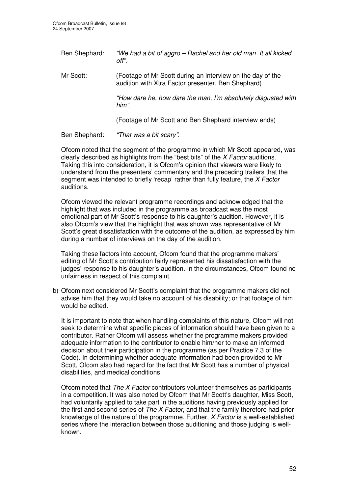| Ben Shephard: | "We had a bit of aggro – Rachel and her old man. It all kicked<br>off".                                          |
|---------------|------------------------------------------------------------------------------------------------------------------|
| Mr Scott:     | (Footage of Mr Scott during an interview on the day of the<br>audition with Xtra Factor presenter, Ben Shephard) |
|               | "How dare he, how dare the man, I'm absolutely disgusted with<br>him".                                           |
|               | (Footage of Mr Scott and Ben Shephard interview ends)                                                            |
| Ben Shephard: | "That was a bit scary".                                                                                          |

Ofcom noted that the segment of the programme in which Mr Scott appeared, was clearly described as highlights from the "best bits" of the *X Factor* auditions. Taking this into consideration, it is Ofcom's opinion that viewers were likely to understand from the presenters' commentary and the preceding trailers that the segment was intended to briefly 'recap' rather than fully feature, the *X Factor* auditions.

Ofcom viewed the relevant programme recordings and acknowledged that the highlight that was included in the programme as broadcast was the most emotional part of Mr Scott's response to his daughter's audition. However, it is also Ofcom's view that the highlight that was shown was representative of Mr Scott's great dissatisfaction with the outcome of the audition, as expressed by him during a number of interviews on the day of the audition.

Taking these factors into account, Ofcom found that the programme makers' editing of Mr Scott's contribution fairly represented his dissatisfaction with the judges' response to his daughter's audition. In the circumstances, Ofcom found no unfairness in respect of this complaint.

b) Ofcom next considered Mr Scott's complaint that the programme makers did not advise him that they would take no account of his disability; or that footage of him would be edited.

It is important to note that when handling complaints of this nature, Ofcom will not seek to determine what specific pieces of information should have been given to a contributor. Rather Ofcom will assess whether the programme makers provided adequate information to the contributor to enable him/her to make an informed decision about their participation in the programme (as per Practice 7.3 of the Code). In determining whether adequate information had been provided to Mr Scott, Ofcom also had regard for the fact that Mr Scott has a number of physical disabilities, and medical conditions.

Ofcom noted that *The X Factor* contributors volunteer themselves as participants in a competition. It was also noted by Ofcom that Mr Scott's daughter, Miss Scott, had voluntarily applied to take part in the auditions having previously applied for the first and second series of *The X Factor*, and that the family therefore had prior knowledge of the nature of the programme. Further, *X Factor* is a well-established series where the interaction between those auditioning and those judging is wellknown.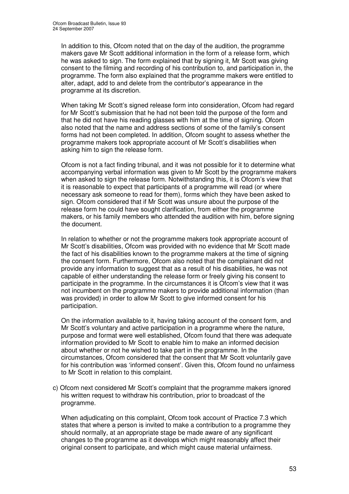In addition to this, Ofcom noted that on the day of the audition, the programme makers gave Mr Scott additional information in the form of a release form, which he was asked to sign. The form explained that by signing it, Mr Scott was giving consent to the filming and recording of his contribution to, and participation in, the programme. The form also explained that the programme makers were entitled to alter, adapt, add to and delete from the contributor's appearance in the programme at its discretion.

When taking Mr Scott's signed release form into consideration, Ofcom had regard for Mr Scott's submission that he had not been told the purpose of the form and that he did not have his reading glasses with him at the time of signing. Ofcom also noted that the name and address sections of some of the family's consent forms had not been completed. In addition, Ofcom sought to assess whether the programme makers took appropriate account of Mr Scott's disabilities when asking him to sign the release form.

Ofcom is not a fact finding tribunal, and it was not possible for it to determine what accompanying verbal information was given to Mr Scott by the programme makers when asked to sign the release form. Notwithstanding this, it is Ofcom's view that it is reasonable to expect that participants of a programme will read (or where necessary ask someone to read for them), forms which they have been asked to sign. Ofcom considered that if Mr Scott was unsure about the purpose of the release form he could have sought clarification, from either the programme makers, or his family members who attended the audition with him, before signing the document.

In relation to whether or not the programme makers took appropriate account of Mr Scott's disabilities, Ofcom was provided with no evidence that Mr Scott made the fact of his disabilities known to the programme makers at the time of signing the consent form. Furthermore, Ofcom also noted that the complainant did not provide any information to suggest that as a result of his disabilities, he was not capable of either understanding the release form or freely giving his consent to participate in the programme. In the circumstances it is Ofcom's view that it was not incumbent on the programme makers to provide additional information (than was provided) in order to allow Mr Scott to give informed consent for his participation.

On the information available to it, having taking account of the consent form, and Mr Scott's voluntary and active participation in a programme where the nature, purpose and format were well established, Ofcom found that there was adequate information provided to Mr Scott to enable him to make an informed decision about whether or not he wished to take part in the programme. In the circumstances, Ofcom considered that the consent that Mr Scott voluntarily gave for his contribution was 'informed consent'. Given this, Ofcom found no unfairness to Mr Scott in relation to this complaint.

c) Ofcom next considered Mr Scott's complaint that the programme makers ignored his written request to withdraw his contribution, prior to broadcast of the programme.

When adjudicating on this complaint, Ofcom took account of Practice 7.3 which states that where a person is invited to make a contribution to a programme they should normally, at an appropriate stage be made aware of any significant changes to the programme as it develops which might reasonably affect their original consent to participate, and which might cause material unfairness.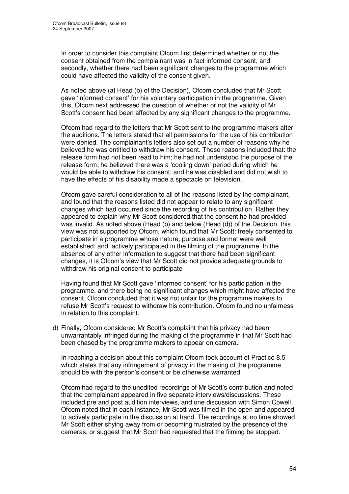In order to consider this complaint Ofcom first determined whether or not the consent obtained from the complainant was in fact informed consent, and secondly, whether there had been significant changes to the programme which could have affected the validity of the consent given.

As noted above (at Head (b) of the Decision), Ofcom concluded that Mr Scott gave 'informed consent' for his voluntary participation in the programme. Given this, Ofcom next addressed the question of whether or not the validity of Mr Scott's consent had been affected by any significant changes to the programme.

Ofcom had regard to the letters that Mr Scott sent to the programme makers after the auditions. The letters stated that all permissions for the use of his contribution were denied. The complainant's letters also set out a number of reasons why he believed he was entitled to withdraw his consent. These reasons included that: the release form had not been read to him; he had not understood the purpose of the release form; he believed there was a 'cooling down' period during which he would be able to withdraw his consent; and he was disabled and did not wish to have the effects of his disability made a spectacle on television.

Ofcom gave careful consideration to all of the reasons listed by the complainant, and found that the reasons listed did not appear to relate to any significant changes which had occurred since the recording of his contribution. Rather they appeared to explain why Mr Scott considered that the consent he had provided was invalid. As noted above (Head (b) and below (Head (d)) of the Decision, this view was not supported by Ofcom, which found that Mr Scott: freely consented to participate in a programme whose nature, purpose and format were well established; and, actively participated in the filming of the programme. In the absence of any other information to suggest that there had been significant changes, it is Ofcom's view that Mr Scott did not provide adequate grounds to withdraw his original consent to participate

Having found that Mr Scott gave 'informed consent' for his participation in the programme, and there being no significant changes which might have affected the consent, Ofcom concluded that it was not unfair for the programme makers to refuse Mr Scott's request to withdraw his contribution. Ofcom found no unfairness in relation to this complaint.

d) Finally, Ofcom considered Mr Scott's complaint that his privacy had been unwarrantably infringed during the making of the programme in that Mr Scott had been chased by the programme makers to appear on camera.

In reaching a decision about this complaint Ofcom took account of Practice 8.5 which states that any infringement of privacy in the making of the programme should be with the person's consent or be otherwise warranted.

Ofcom had regard to the unedited recordings of Mr Scott's contribution and noted that the complainant appeared in five separate interviews/discussions. These included pre and post audition interviews, and one discussion with Simon Cowell. Ofcom noted that in each instance, Mr Scott was filmed in the open and appeared to actively participate in the discussion at hand. The recordings at no time showed Mr Scott either shying away from or becoming frustrated by the presence of the cameras, or suggest that Mr Scott had requested that the filming be stopped.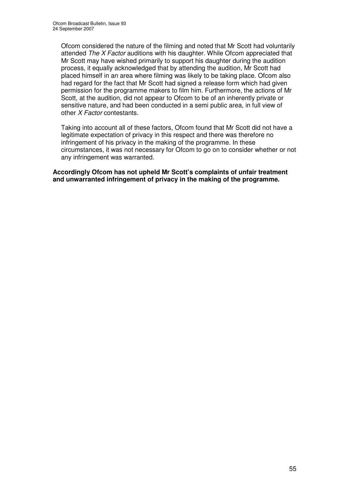Ofcom considered the nature of the filming and noted that Mr Scott had voluntarily attended *The X Factor* auditions with his daughter. While Ofcom appreciated that Mr Scott may have wished primarily to support his daughter during the audition process, it equally acknowledged that by attending the audition, Mr Scott had placed himself in an area where filming was likely to be taking place. Ofcom also had regard for the fact that Mr Scott had signed a release form which had given permission for the programme makers to film him. Furthermore, the actions of Mr Scott, at the audition, did not appear to Ofcom to be of an inherently private or sensitive nature, and had been conducted in a semi public area, in full view of other *X Factor* contestants.

Taking into account all of these factors, Ofcom found that Mr Scott did not have a legitimate expectation of privacy in this respect and there was therefore no infringement of his privacy in the making of the programme. In these circumstances, it was not necessary for Ofcom to go on to consider whether or not any infringement was warranted.

**Accordingly Ofcom has not upheld Mr Scott's complaints of unfair treatment and unwarranted infringement of privacy in the making of the programme.**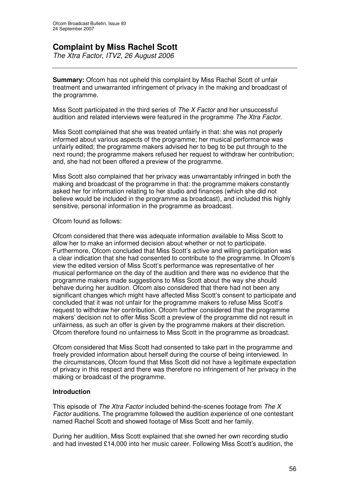# **Complaint by Miss Rachel Scott**

*The Xtra Factor, ITV2, 26 August 2006*

**Summary:** Ofcom has not upheld this complaint by Miss Rachel Scott of unfair treatment and unwarranted infringement of privacy in the making and broadcast of the programme.

Miss Scott participated in the third series of *The X Factor* and her unsuccessful audition and related interviews were featured in the programme *The Xtra Factor*.

Miss Scott complained that she was treated unfairly in that: she was not properly informed about various aspects of the programme; her musical performance was unfairly edited; the programme makers advised her to beg to be put through to the next round; the programme makers refused her request to withdraw her contribution; and, she had not been offered a preview of the programme.

Miss Scott also complained that her privacy was unwarrantably infringed in both the making and broadcast of the programme in that: the programme makers constantly asked her for information relating to her studio and finances (which she did not believe would be included in the programme as broadcast), and included this highly sensitive, personal information in the programme as broadcast.

## Ofcom found as follows:

Ofcom considered that there was adequate information available to Miss Scott to allow her to make an informed decision about whether or not to participate. Furthermore, Ofcom concluded that Miss Scott's active and willing participation was a clear indication that she had consented to contribute to the programme. In Ofcom's view the edited version of Miss Scott's performance was representative of her musical performance on the day of the audition and there was no evidence that the programme makers made suggestions to Miss Scott about the way she should behave during her audition. Ofcom also considered that there had not been any significant changes which might have affected Miss Scott's consent to participate and concluded that it was not unfair for the programme makers to refuse Miss Scott's request to withdraw her contribution. Ofcom further considered that the programme makers' decision not to offer Miss Scott a preview of the programme did not result in unfairness, as such an offer is given by the programme makers at their discretion. Ofcom therefore found no unfairness to Miss Scott in the programme as broadcast.

Ofcom considered that Miss Scott had consented to take part in the programme and freely provided information about herself during the course of being interviewed. In the circumstances, Ofcom found that Miss Scott did not have a legitimate expectation of privacy in this respect and there was therefore no infringement of her privacy in the making or broadcast of the programme.

## **Introduction**

This episode of *The Xtra Factor* included behind-the-scenes footage from *The X Factor* auditions. The programme followed the audition experience of one contestant named Rachel Scott and showed footage of Miss Scott and her family.

During her audition, Miss Scott explained that she owned her own recording studio and had invested £14,000 into her music career. Following Miss Scott's audition, the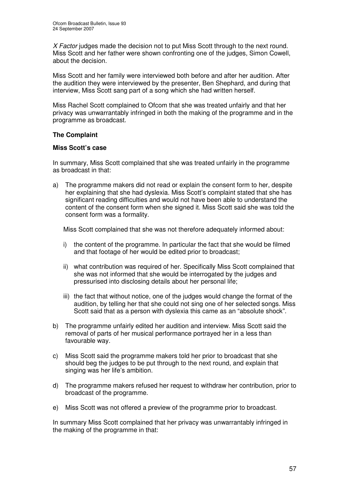*X Factor* judges made the decision not to put Miss Scott through to the next round. Miss Scott and her father were shown confronting one of the judges, Simon Cowell, about the decision.

Miss Scott and her family were interviewed both before and after her audition. After the audition they were interviewed by the presenter, Ben Shephard, and during that interview, Miss Scott sang part of a song which she had written herself.

Miss Rachel Scott complained to Ofcom that she was treated unfairly and that her privacy was unwarrantably infringed in both the making of the programme and in the programme as broadcast.

# **The Complaint**

## **Miss Scott's case**

In summary, Miss Scott complained that she was treated unfairly in the programme as broadcast in that:

a) The programme makers did not read or explain the consent form to her, despite her explaining that she had dyslexia. Miss Scott's complaint stated that she has significant reading difficulties and would not have been able to understand the content of the consent form when she signed it. Miss Scott said she was told the consent form was a formality.

Miss Scott complained that she was not therefore adequately informed about:

- i) the content of the programme. In particular the fact that she would be filmed and that footage of her would be edited prior to broadcast;
- ii) what contribution was required of her. Specifically Miss Scott complained that she was not informed that she would be interrogated by the judges and pressurised into disclosing details about her personal life;
- iii) the fact that without notice, one of the judges would change the format of the audition, by telling her that she could not sing one of her selected songs. Miss Scott said that as a person with dyslexia this came as an "absolute shock".
- b) The programme unfairly edited her audition and interview. Miss Scott said the removal of parts of her musical performance portrayed her in a less than favourable way.
- c) Miss Scott said the programme makers told her prior to broadcast that she should beg the judges to be put through to the next round, and explain that singing was her life's ambition.
- d) The programme makers refused her request to withdraw her contribution, prior to broadcast of the programme.
- e) Miss Scott was not offered a preview of the programme prior to broadcast.

In summary Miss Scott complained that her privacy was unwarrantably infringed in the making of the programme in that: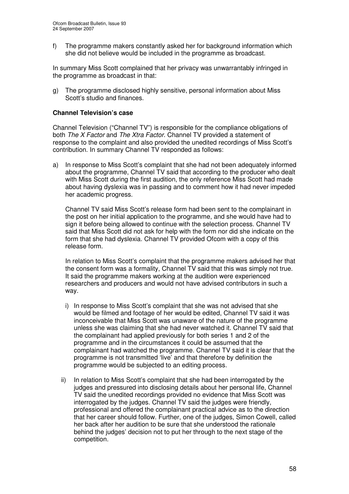f) The programme makers constantly asked her for background information which she did not believe would be included in the programme as broadcast.

In summary Miss Scott complained that her privacy was unwarrantably infringed in the programme as broadcast in that:

g) The programme disclosed highly sensitive, personal information about Miss Scott's studio and finances.

## **Channel Television's case**

Channel Television ("Channel TV") is responsible for the compliance obligations of both *The X Factor* and *The Xtra Factor*. Channel TV provided a statement of response to the complaint and also provided the unedited recordings of Miss Scott's contribution. In summary Channel TV responded as follows:

a) In response to Miss Scott's complaint that she had not been adequately informed about the programme, Channel TV said that according to the producer who dealt with Miss Scott during the first audition, the only reference Miss Scott had made about having dyslexia was in passing and to comment how it had never impeded her academic progress.

Channel TV said Miss Scott's release form had been sent to the complainant in the post on her initial application to the programme, and she would have had to sign it before being allowed to continue with the selection process. Channel TV said that Miss Scott did not ask for help with the form nor did she indicate on the form that she had dyslexia. Channel TV provided Ofcom with a copy of this release form.

In relation to Miss Scott's complaint that the programme makers advised her that the consent form was a formality, Channel TV said that this was simply not true. It said the programme makers working at the audition were experienced researchers and producers and would not have advised contributors in such a way.

- i) In response to Miss Scott's complaint that she was not advised that she would be filmed and footage of her would be edited, Channel TV said it was inconceivable that Miss Scott was unaware of the nature of the programme unless she was claiming that she had never watched it. Channel TV said that the complainant had applied previously for both series 1 and 2 of the programme and in the circumstances it could be assumed that the complainant had watched the programme. Channel TV said it is clear that the programme is not transmitted 'live' and that therefore by definition the programme would be subjected to an editing process.
- ii) In relation to Miss Scott's complaint that she had been interrogated by the judges and pressured into disclosing details about her personal life, Channel TV said the unedited recordings provided no evidence that Miss Scott was interrogated by the judges. Channel TV said the judges were friendly, professional and offered the complainant practical advice as to the direction that her career should follow. Further, one of the judges, Simon Cowell, called her back after her audition to be sure that she understood the rationale behind the judges' decision not to put her through to the next stage of the competition.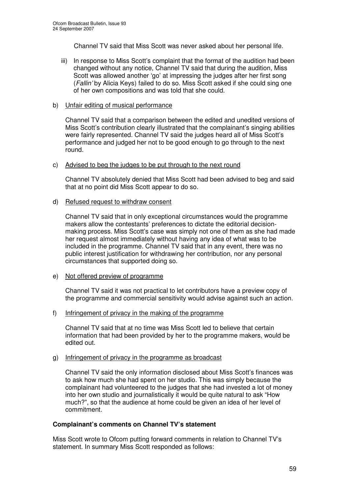Channel TV said that Miss Scott was never asked about her personal life.

iii) In response to Miss Scott's complaint that the format of the audition had been changed without any notice, Channel TV said that during the audition, Miss Scott was allowed another 'go' at impressing the judges after her first song (*Fallin'* by Alicia Keys) failed to do so. Miss Scott asked if she could sing one of her own compositions and was told that she could.

#### b) Unfair editing of musical performance

Channel TV said that a comparison between the edited and unedited versions of Miss Scott's contribution clearly illustrated that the complainant's singing abilities were fairly represented. Channel TV said the judges heard all of Miss Scott's performance and judged her not to be good enough to go through to the next round.

#### c) Advised to beg the judges to be put through to the next round

Channel TV absolutely denied that Miss Scott had been advised to beg and said that at no point did Miss Scott appear to do so.

#### d) Refused request to withdraw consent

Channel TV said that in only exceptional circumstances would the programme makers allow the contestants' preferences to dictate the editorial decisionmaking process. Miss Scott's case was simply not one of them as she had made her request almost immediately without having any idea of what was to be included in the programme. Channel TV said that in any event, there was no public interest justification for withdrawing her contribution, nor any personal circumstances that supported doing so.

## e) Not offered preview of programme

Channel TV said it was not practical to let contributors have a preview copy of the programme and commercial sensitivity would advise against such an action.

#### f) Infringement of privacy in the making of the programme

Channel TV said that at no time was Miss Scott led to believe that certain information that had been provided by her to the programme makers, would be edited out.

#### g) Infringement of privacy in the programme as broadcast

Channel TV said the only information disclosed about Miss Scott's finances was to ask how much she had spent on her studio. This was simply because the complainant had volunteered to the judges that she had invested a lot of money into her own studio and journalistically it would be quite natural to ask "How much?", so that the audience at home could be given an idea of her level of commitment.

## **Complainant's comments on Channel TV's statement**

Miss Scott wrote to Ofcom putting forward comments in relation to Channel TV's statement. In summary Miss Scott responded as follows: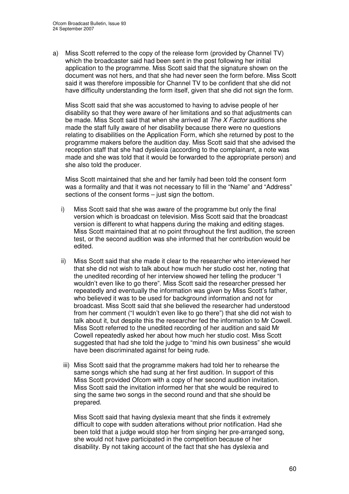a) Miss Scott referred to the copy of the release form (provided by Channel TV) which the broadcaster said had been sent in the post following her initial application to the programme. Miss Scott said that the signature shown on the document was not hers, and that she had never seen the form before. Miss Scott said it was therefore impossible for Channel TV to be confident that she did not have difficulty understanding the form itself, given that she did not sign the form.

Miss Scott said that she was accustomed to having to advise people of her disability so that they were aware of her limitations and so that adjustments can be made. Miss Scott said that when she arrived at *The X Factor* auditions she made the staff fully aware of her disability because there were no questions relating to disabilities on the Application Form, which she returned by post to the programme makers before the audition day. Miss Scott said that she advised the reception staff that she had dyslexia (according to the complainant, a note was made and she was told that it would be forwarded to the appropriate person) and she also told the producer.

Miss Scott maintained that she and her family had been told the consent form was a formality and that it was not necessary to fill in the "Name" and "Address" sections of the consent forms – just sign the bottom.

- i) Miss Scott said that she was aware of the programme but only the final version which is broadcast on television. Miss Scott said that the broadcast version is different to what happens during the making and editing stages. Miss Scott maintained that at no point throughout the first audition, the screen test, or the second audition was she informed that her contribution would be edited.
- ii) Miss Scott said that she made it clear to the researcher who interviewed her that she did not wish to talk about how much her studio cost her, noting that the unedited recording of her interview showed her telling the producer "I wouldn't even like to go there". Miss Scott said the researcher pressed her repeatedly and eventually the information was given by Miss Scott's father, who believed it was to be used for background information and not for broadcast. Miss Scott said that she believed the researcher had understood from her comment ("I wouldn't even like to go there") that she did not wish to talk about it, but despite this the researcher fed the information to Mr Cowell. Miss Scott referred to the unedited recording of her audition and said Mr Cowell repeatedly asked her about how much her studio cost. Miss Scott suggested that had she told the judge to "mind his own business" she would have been discriminated against for being rude.
- iii) Miss Scott said that the programme makers had told her to rehearse the same songs which she had sung at her first audition. In support of this Miss Scott provided Ofcom with a copy of her second audition invitation. Miss Scott said the invitation informed her that she would be required to sing the same two songs in the second round and that she should be prepared.

Miss Scott said that having dyslexia meant that she finds it extremely difficult to cope with sudden alterations without prior notification. Had she been told that a judge would stop her from singing her pre-arranged song, she would not have participated in the competition because of her disability. By not taking account of the fact that she has dyslexia and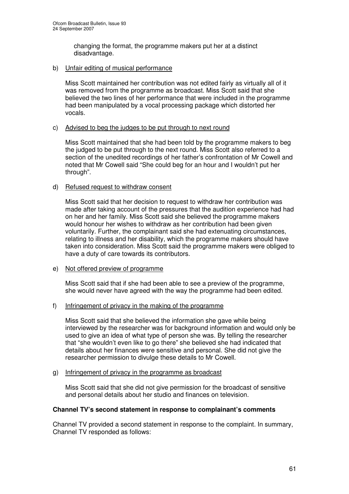changing the format, the programme makers put her at a distinct disadvantage.

#### b) Unfair editing of musical performance

Miss Scott maintained her contribution was not edited fairly as virtually all of it was removed from the programme as broadcast. Miss Scott said that she believed the two lines of her performance that were included in the programme had been manipulated by a vocal processing package which distorted her vocals.

#### c) Advised to beg the judges to be put through to next round

Miss Scott maintained that she had been told by the programme makers to beg the judged to be put through to the next round. Miss Scott also referred to a section of the unedited recordings of her father's confrontation of Mr Cowell and noted that Mr Cowell said "She could beg for an hour and I wouldn't put her through".

#### d) Refused request to withdraw consent

Miss Scott said that her decision to request to withdraw her contribution was made after taking account of the pressures that the audition experience had had on her and her family. Miss Scott said she believed the programme makers would honour her wishes to withdraw as her contribution had been given voluntarily. Further, the complainant said she had extenuating circumstances, relating to illness and her disability, which the programme makers should have taken into consideration. Miss Scott said the programme makers were obliged to have a duty of care towards its contributors.

## e) Not offered preview of programme

Miss Scott said that if she had been able to see a preview of the programme, she would never have agreed with the way the programme had been edited.

## f) Infringement of privacy in the making of the programme

Miss Scott said that she believed the information she gave while being interviewed by the researcher was for background information and would only be used to give an idea of what type of person she was. By telling the researcher that "she wouldn't even like to go there" she believed she had indicated that details about her finances were sensitive and personal. She did not give the researcher permission to divulge these details to Mr Cowell.

# g) Infringement of privacy in the programme as broadcast

Miss Scott said that she did not give permission for the broadcast of sensitive and personal details about her studio and finances on television.

## **Channel TV's second statement in response to complainant's comments**

Channel TV provided a second statement in response to the complaint. In summary, Channel TV responded as follows: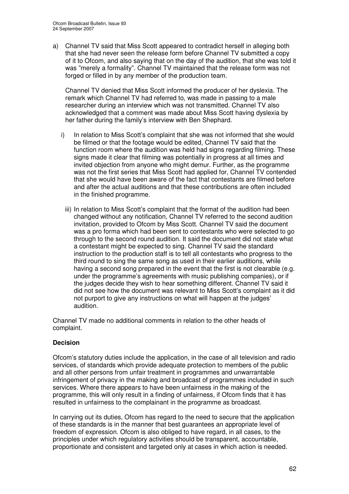a) Channel TV said that Miss Scott appeared to contradict herself in alleging both that she had never seen the release form before Channel TV submitted a copy of it to Ofcom, and also saying that on the day of the audition, that she was told it was "merely a formality". Channel TV maintained that the release form was not forged or filled in by any member of the production team.

Channel TV denied that Miss Scott informed the producer of her dyslexia. The remark which Channel TV had referred to, was made in passing to a male researcher during an interview which was not transmitted. Channel TV also acknowledged that a comment was made about Miss Scott having dyslexia by her father during the family's interview with Ben Shephard.

- i) In relation to Miss Scott's complaint that she was not informed that she would be filmed or that the footage would be edited, Channel TV said that the function room where the audition was held had signs regarding filming. These signs made it clear that filming was potentially in progress at all times and invited objection from anyone who might demur. Further, as the programme was not the first series that Miss Scott had applied for, Channel TV contended that she would have been aware of the fact that contestants are filmed before and after the actual auditions and that these contributions are often included in the finished programme.
	- iii) In relation to Miss Scott's complaint that the format of the audition had been changed without any notification, Channel TV referred to the second audition invitation, provided to Ofcom by Miss Scott. Channel TV said the document was a pro forma which had been sent to contestants who were selected to go through to the second round audition. It said the document did not state what a contestant might be expected to sing. Channel TV said the standard instruction to the production staff is to tell all contestants who progress to the third round to sing the same song as used in their earlier auditions, while having a second song prepared in the event that the first is not clearable (e.g. under the programme's agreements with music publishing companies), or if the judges decide they wish to hear something different. Channel TV said it did not see how the document was relevant to Miss Scott's complaint as it did not purport to give any instructions on what will happen at the judges' audition.

Channel TV made no additional comments in relation to the other heads of complaint.

## **Decision**

Ofcom's statutory duties include the application, in the case of all television and radio services, of standards which provide adequate protection to members of the public and all other persons from unfair treatment in programmes and unwarrantable infringement of privacy in the making and broadcast of programmes included in such services. Where there appears to have been unfairness in the making of the programme, this will only result in a finding of unfairness, if Ofcom finds that it has resulted in unfairness to the complainant in the programme as broadcast.

In carrying out its duties, Ofcom has regard to the need to secure that the application of these standards is in the manner that best guarantees an appropriate level of freedom of expression. Ofcom is also obliged to have regard, in all cases, to the principles under which regulatory activities should be transparent, accountable, proportionate and consistent and targeted only at cases in which action is needed.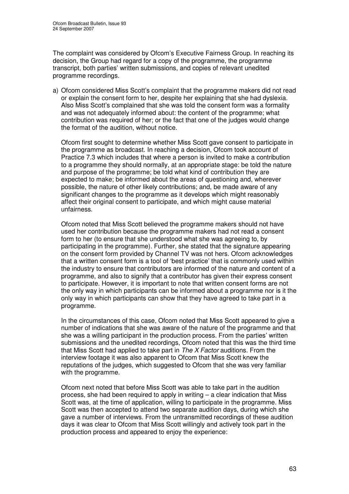The complaint was considered by Ofcom's Executive Fairness Group. In reaching its decision, the Group had regard for a copy of the programme, the programme transcript, both parties' written submissions, and copies of relevant unedited programme recordings.

a) Ofcom considered Miss Scott's complaint that the programme makers did not read or explain the consent form to her, despite her explaining that she had dyslexia. Also Miss Scott's complained that she was told the consent form was a formality and was not adequately informed about: the content of the programme; what contribution was required of her; or the fact that one of the judges would change the format of the audition, without notice.

Ofcom first sought to determine whether Miss Scott gave consent to participate in the programme as broadcast. In reaching a decision, Ofcom took account of Practice 7.3 which includes that where a person is invited to make a contribution to a programme they should normally, at an appropriate stage: be told the nature and purpose of the programme; be told what kind of contribution they are expected to make; be informed about the areas of questioning and, wherever possible, the nature of other likely contributions; and, be made aware of any significant changes to the programme as it develops which might reasonably affect their original consent to participate, and which might cause material unfairness.

Ofcom noted that Miss Scott believed the programme makers should not have used her contribution because the programme makers had not read a consent form to her (to ensure that she understood what she was agreeing to, by participating in the programme). Further, she stated that the signature appearing on the consent form provided by Channel TV was not hers. Ofcom acknowledges that a written consent form is a tool of 'best practice' that is commonly used within the industry to ensure that contributors are informed of the nature and content of a programme, and also to signify that a contributor has given their express consent to participate. However, it is important to note that written consent forms are not the only way in which participants can be informed about a programme nor is it the only way in which participants can show that they have agreed to take part in a programme.

In the circumstances of this case, Ofcom noted that Miss Scott appeared to give a number of indications that she was aware of the nature of the programme and that she was a willing participant in the production process. From the parties' written submissions and the unedited recordings, Ofcom noted that this was the third time that Miss Scott had applied to take part in *The X Factor* auditions. From the interview footage it was also apparent to Ofcom that Miss Scott knew the reputations of the judges, which suggested to Ofcom that she was very familiar with the programme.

Ofcom next noted that before Miss Scott was able to take part in the audition process, she had been required to apply in writing  $-$  a clear indication that Miss Scott was, at the time of application, willing to participate in the programme. Miss Scott was then accepted to attend two separate audition days, during which she gave a number of interviews. From the untransmitted recordings of these audition days it was clear to Ofcom that Miss Scott willingly and actively took part in the production process and appeared to enjoy the experience: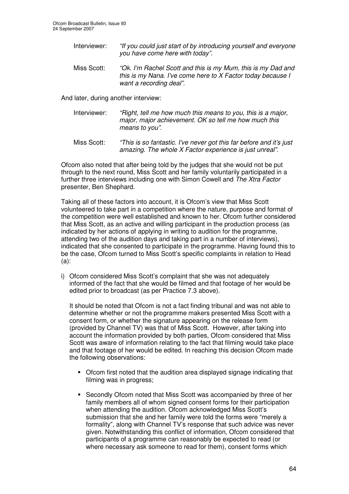- Interviewer: *"If you could just start of by introducing yourself and everyone you have come here with today".*
- Miss Scott: *"Ok. I'm Rachel Scott and this is my Mum, this is my Dad and this is my Nana. I've come here to X Factor today because I want a recording deal".*

And later, during another interview:

- Interviewer: *"Right, tell me how much this means to you, this is a major, major, major achievement. OK so tell me how much this means to you".*
- Miss Scott: *"This is so fantastic. I've never got this far before and it's just amazing. The whole X Factor experience is just unreal".*

Ofcom also noted that after being told by the judges that she would not be put through to the next round, Miss Scott and her family voluntarily participated in a further three interviews including one with Simon Cowell and *The Xtra Factor* presenter, Ben Shephard.

Taking all of these factors into account, it is Ofcom's view that Miss Scott volunteered to take part in a competition where the nature, purpose and format of the competition were well established and known to her. Ofcom further considered that Miss Scott, as an active and willing participant in the production process (as indicated by her actions of applying in writing to audition for the programme, attending two of the audition days and taking part in a number of interviews), indicated that she consented to participate in the programme. Having found this to be the case, Ofcom turned to Miss Scott's specific complaints in relation to Head (a):

i) Ofcom considered Miss Scott's complaint that she was not adequately informed of the fact that she would be filmed and that footage of her would be edited prior to broadcast (as per Practice 7.3 above).

It should be noted that Ofcom is not a fact finding tribunal and was not able to determine whether or not the programme makers presented Miss Scott with a consent form, or whether the signature appearing on the release form (provided by Channel TV) was that of Miss Scott. However, after taking into account the information provided by both parties, Ofcom considered that Miss Scott was aware of information relating to the fact that filming would take place and that footage of her would be edited. In reaching this decision Ofcom made the following observations:

- Ofcom first noted that the audition area displayed signage indicating that filming was in progress;
- Secondly Ofcom noted that Miss Scott was accompanied by three of her family members all of whom signed consent forms for their participation when attending the audition. Ofcom acknowledged Miss Scott's submission that she and her family were told the forms were "merely a formality", along with Channel TV's response that such advice was never given. Notwithstanding this conflict of information, Ofcom considered that participants of a programme can reasonably be expected to read (or where necessary ask someone to read for them), consent forms which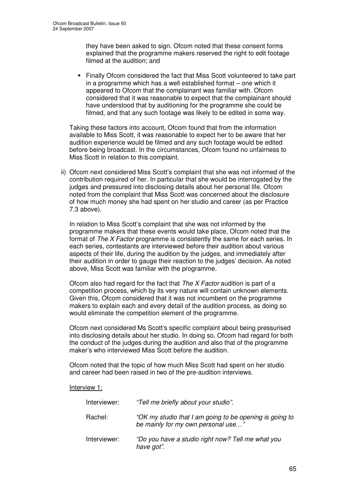they have been asked to sign. Ofcom noted that these consent forms explained that the programme makers reserved the right to edit footage filmed at the audition; and

 Finally Ofcom considered the fact that Miss Scott volunteered to take part in a programme which has a well established format – one which it appeared to Ofcom that the complainant was familiar with. Ofcom considered that it was reasonable to expect that the complainant should have understood that by auditioning for the programme she could be filmed, and that any such footage was likely to be edited in some way.

Taking these factors into account, Ofcom found that from the information available to Miss Scott, it was reasonable to expect her to be aware that her audition experience would be filmed and any such footage would be edited before being broadcast. In the circumstances, Ofcom found no unfairness to Miss Scott in relation to this complaint.

ii) Ofcom next considered Miss Scott's complaint that she was not informed of the contribution required of her. In particular that she would be interrogated by the judges and pressured into disclosing details about her personal life. Ofcom noted from the complaint that Miss Scott was concerned about the disclosure of how much money she had spent on her studio and career (as per Practice 7.3 above).

In relation to Miss Scott's complaint that she was not informed by the programme makers that these events would take place, Ofcom noted that the format of *The X Factor* programme is consistently the same for each series. In each series, contestants are interviewed before their audition about various aspects of their life, during the audition by the judges, and immediately after their audition in order to gauge their reaction to the judges' decision. As noted above, Miss Scott was familiar with the programme.

Ofcom also had regard for the fact that *The X Factor* audition is part of a competition process, which by its very nature will contain unknown elements. Given this, Ofcom considered that it was not incumbent on the programme makers to explain each and every detail of the audition process, as doing so would eliminate the competition element of the programme.

Ofcom next considered Ms Scott's specific complaint about being pressurised into disclosing details about her studio. In doing so, Ofcom had regard for both the conduct of the judges during the audition and also that of the programme maker's who interviewed Miss Scott before the audition.

Ofcom noted that the topic of how much Miss Scott had spent on her studio and career had been raised in two of the pre-audition interviews.

Interview 1:

| Interviewer: | "Tell me briefly about your studio".                                                          |
|--------------|-----------------------------------------------------------------------------------------------|
| Rachel:      | "OK my studio that I am going to be opening is going to<br>be mainly for my own personal use" |
| Interviewer: | "Do you have a studio right now? Tell me what you<br>have got".                               |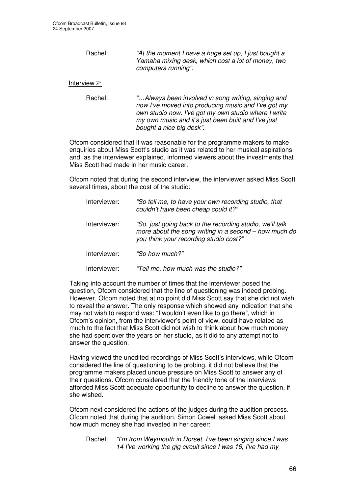Rachel: *"At the moment I have a huge set up, I just bought a Yamaha mixing desk, which cost a lot of money, two computers running".*

## Interview 2:

Rachel: *"…Always been involved in song writing, singing and now I've moved into producing music and I've got my own studio now. I've got my own studio where I write my own music and it's just been built and I've just bought a nice big desk".*

Ofcom considered that it was reasonable for the programme makers to make enquiries about Miss Scott's studio as it was related to her musical aspirations and, as the interviewer explained, informed viewers about the investments that Miss Scott had made in her music career.

Ofcom noted that during the second interview, the interviewer asked Miss Scott several times, about the cost of the studio:

| Interviewer: | "So tell me, to have your own recording studio, that<br>couldn't have been cheap could it?"                                                                 |
|--------------|-------------------------------------------------------------------------------------------------------------------------------------------------------------|
| Interviewer: | "So, just going back to the recording studio, we'll talk<br>more about the song writing in a second - how much do<br>you think your recording studio cost?" |
| Interviewer: | "So how much?"                                                                                                                                              |
| Interviewer: | "Tell me, how much was the studio?"                                                                                                                         |

Taking into account the number of times that the interviewer posed the question, Ofcom considered that the line of questioning was indeed probing. However, Ofcom noted that at no point did Miss Scott say that she did not wish to reveal the answer. The only response which showed any indication that she may not wish to respond was: "I wouldn't even like to go there", which in Ofcom's opinion, from the interviewer's point of view, could have related as much to the fact that Miss Scott did not wish to think about how much money she had spent over the years on her studio, as it did to any attempt not to answer the question.

Having viewed the unedited recordings of Miss Scott's interviews, while Ofcom considered the line of questioning to be probing, it did not believe that the programme makers placed undue pressure on Miss Scott to answer any of their questions. Ofcom considered that the friendly tone of the interviews afforded Miss Scott adequate opportunity to decline to answer the question, if she wished.

Ofcom next considered the actions of the judges during the audition process. Ofcom noted that during the audition, Simon Cowell asked Miss Scott about how much money she had invested in her career:

Rachel: *"I'm from Weymouth in Dorset. I've been singing since I was 14 I've working the gig circuit since I was 16, I've had my*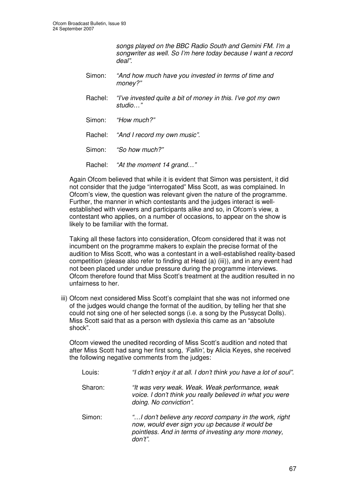*songs played on the BBC Radio South and Gemini FM. I'm a songwriter as well. So I'm here today because I want a record deal".*

- Simon: *"And how much have you invested in terms of time and money?"*
- Rachel: *"I've invested quite a bit of money in this. I've got my own studio…"*
- Simon: *"How much?"*
- Rachel: *"And I record my own music".*
- Simon: *"So how much?"*
- Rachel: *"At the moment 14 grand…"*

Again Ofcom believed that while it is evident that Simon was persistent, it did not consider that the judge "interrogated" Miss Scott, as was complained. In Ofcom's view, the question was relevant given the nature of the programme. Further, the manner in which contestants and the judges interact is wellestablished with viewers and participants alike and so, in Ofcom's view, a contestant who applies, on a number of occasions, to appear on the show is likely to be familiar with the format.

Taking all these factors into consideration, Ofcom considered that it was not incumbent on the programme makers to explain the precise format of the audition to Miss Scott, who was a contestant in a well-established reality-based competition (please also refer to finding at Head (a) (iii)), and in any event had not been placed under undue pressure during the programme interviews. Ofcom therefore found that Miss Scott's treatment at the audition resulted in no unfairness to her.

iii) Ofcom next considered Miss Scott's complaint that she was not informed one of the judges would change the format of the audition, by telling her that she could not sing one of her selected songs (i.e. a song by the Pussycat Dolls). Miss Scott said that as a person with dyslexia this came as an "absolute shock".

Ofcom viewed the unedited recording of Miss Scott's audition and noted that after Miss Scott had sang her first song, *'Fallin'*, by Alicia Keyes, she received the following negative comments from the judges:

| Louis:  | "I didn't enjoy it at all. I don't think you have a lot of soul".                                                                                                            |
|---------|------------------------------------------------------------------------------------------------------------------------------------------------------------------------------|
| Sharon: | "It was very weak. Weak. Weak performance, weak<br>voice. I don't think you really believed in what you were<br>doing. No conviction".                                       |
| Simon:  | " I don't believe any record company in the work, right<br>now, would ever sign you up because it would be<br>pointless. And in terms of investing any more money,<br>don't" |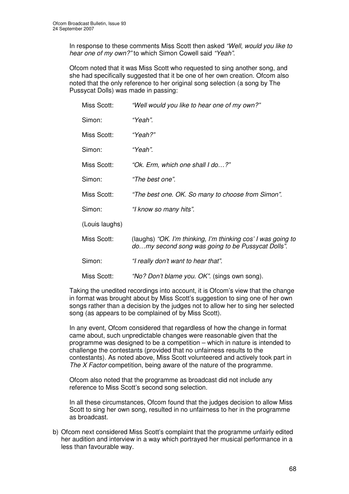In response to these comments Miss Scott then asked *"Well, would you like to hear one of my own?"* to which Simon Cowell said *"Yeah"*.

Ofcom noted that it was Miss Scott who requested to sing another song, and she had specifically suggested that it be one of her own creation. Ofcom also noted that the only reference to her original song selection (a song by The Pussycat Dolls) was made in passing:

| Miss Scott:    | "Well would you like to hear one of my own?"                                                                      |
|----------------|-------------------------------------------------------------------------------------------------------------------|
| Simon:         | "Yeah".                                                                                                           |
| Miss Scott:    | "Yeah?"                                                                                                           |
| Simon:         | "Yeah".                                                                                                           |
| Miss Scott:    | "Ok. Erm, which one shall I do?"                                                                                  |
| Simon:         | "The best one".                                                                                                   |
| Miss Scott:    | "The best one. OK. So many to choose from Simon".                                                                 |
| Simon:         | "I know so many hits".                                                                                            |
| (Louis laughs) |                                                                                                                   |
| Miss Scott:    | (laughs) "OK. I'm thinking, I'm thinking cos' I was going to<br>domy second song was going to be Pussycat Dolls". |
| Simon:         | "I really don't want to hear that".                                                                               |
| Miss Scott:    | "No? Don't blame you. OK". (sings own song).                                                                      |

Taking the unedited recordings into account, it is Ofcom's view that the change in format was brought about by Miss Scott's suggestion to sing one of her own songs rather than a decision by the judges not to allow her to sing her selected song (as appears to be complained of by Miss Scott).

In any event, Ofcom considered that regardless of how the change in format came about, such unpredictable changes were reasonable given that the programme was designed to be a competition – which in nature is intended to challenge the contestants (provided that no unfairness results to the contestants). As noted above, Miss Scott volunteered and actively took part in *The X Factor* competition, being aware of the nature of the programme.

Ofcom also noted that the programme as broadcast did not include any reference to Miss Scott's second song selection.

In all these circumstances, Ofcom found that the judges decision to allow Miss Scott to sing her own song, resulted in no unfairness to her in the programme as broadcast.

b) Ofcom next considered Miss Scott's complaint that the programme unfairly edited her audition and interview in a way which portrayed her musical performance in a less than favourable way.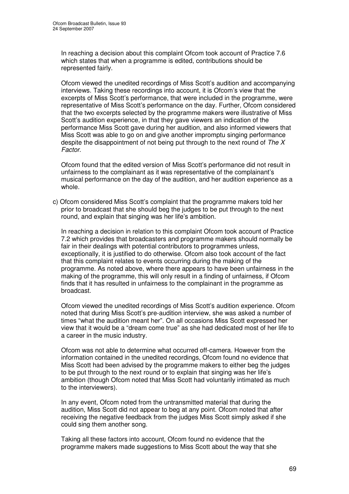In reaching a decision about this complaint Ofcom took account of Practice 7.6 which states that when a programme is edited, contributions should be represented fairly.

Ofcom viewed the unedited recordings of Miss Scott's audition and accompanying interviews. Taking these recordings into account, it is Ofcom's view that the excerpts of Miss Scott's performance, that were included in the programme, were representative of Miss Scott's performance on the day. Further, Ofcom considered that the two excerpts selected by the programme makers were illustrative of Miss Scott's audition experience, in that they gave viewers an indication of the performance Miss Scott gave during her audition, and also informed viewers that Miss Scott was able to go on and give another impromptu singing performance despite the disappointment of not being put through to the next round of *The X Factor*.

Ofcom found that the edited version of Miss Scott's performance did not result in unfairness to the complainant as it was representative of the complainant's musical performance on the day of the audition, and her audition experience as a whole.

c) Ofcom considered Miss Scott's complaint that the programme makers told her prior to broadcast that she should beg the judges to be put through to the next round, and explain that singing was her life's ambition.

In reaching a decision in relation to this complaint Ofcom took account of Practice 7.2 which provides that broadcasters and programme makers should normally be fair in their dealings with potential contributors to programmes unless, exceptionally, it is justified to do otherwise. Ofcom also took account of the fact that this complaint relates to events occurring during the making of the programme. As noted above, where there appears to have been unfairness in the making of the programme, this will only result in a finding of unfairness, if Ofcom finds that it has resulted in unfairness to the complainant in the programme as broadcast.

Ofcom viewed the unedited recordings of Miss Scott's audition experience. Ofcom noted that during Miss Scott's pre-audition interview, she was asked a number of times "what the audition meant her". On all occasions Miss Scott expressed her view that it would be a "dream come true" as she had dedicated most of her life to a career in the music industry.

Ofcom was not able to determine what occurred off-camera. However from the information contained in the unedited recordings, Ofcom found no evidence that Miss Scott had been advised by the programme makers to either beg the judges to be put through to the next round or to explain that singing was her life's ambition (though Ofcom noted that Miss Scott had voluntarily intimated as much to the interviewers).

In any event, Ofcom noted from the untransmitted material that during the audition, Miss Scott did not appear to beg at any point. Ofcom noted that after receiving the negative feedback from the judges Miss Scott simply asked if she could sing them another song.

Taking all these factors into account, Ofcom found no evidence that the programme makers made suggestions to Miss Scott about the way that she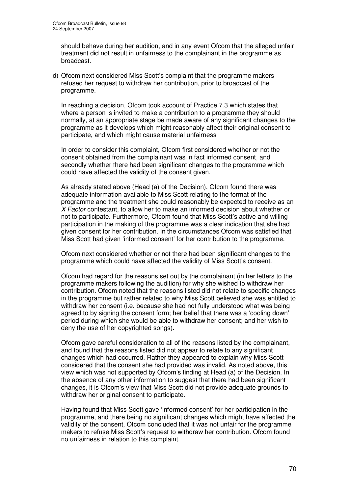should behave during her audition, and in any event Ofcom that the alleged unfair treatment did not result in unfairness to the complainant in the programme as broadcast.

d) Ofcom next considered Miss Scott's complaint that the programme makers refused her request to withdraw her contribution, prior to broadcast of the programme.

In reaching a decision, Ofcom took account of Practice 7.3 which states that where a person is invited to make a contribution to a programme they should normally, at an appropriate stage be made aware of any significant changes to the programme as it develops which might reasonably affect their original consent to participate, and which might cause material unfairness

In order to consider this complaint, Ofcom first considered whether or not the consent obtained from the complainant was in fact informed consent, and secondly whether there had been significant changes to the programme which could have affected the validity of the consent given.

As already stated above (Head (a) of the Decision), Ofcom found there was adequate information available to Miss Scott relating to the format of the programme and the treatment she could reasonably be expected to receive as an *X Factor* contestant, to allow her to make an informed decision about whether or not to participate. Furthermore, Ofcom found that Miss Scott's active and willing participation in the making of the programme was a clear indication that she had given consent for her contribution. In the circumstances Ofcom was satisfied that Miss Scott had given 'informed consent' for her contribution to the programme.

Ofcom next considered whether or not there had been significant changes to the programme which could have affected the validity of Miss Scott's consent.

Ofcom had regard for the reasons set out by the complainant (in her letters to the programme makers following the audition) for why she wished to withdraw her contribution. Ofcom noted that the reasons listed did not relate to specific changes in the programme but rather related to why Miss Scott believed she was entitled to withdraw her consent (i.e. because she had not fully understood what was being agreed to by signing the consent form; her belief that there was a 'cooling down' period during which she would be able to withdraw her consent; and her wish to deny the use of her copyrighted songs).

Ofcom gave careful consideration to all of the reasons listed by the complainant, and found that the reasons listed did not appear to relate to any significant changes which had occurred. Rather they appeared to explain why Miss Scott considered that the consent she had provided was invalid. As noted above, this view which was not supported by Ofcom's finding at Head (a) of the Decision. In the absence of any other information to suggest that there had been significant changes, it is Ofcom's view that Miss Scott did not provide adequate grounds to withdraw her original consent to participate.

Having found that Miss Scott gave 'informed consent' for her participation in the programme, and there being no significant changes which might have affected the validity of the consent, Ofcom concluded that it was not unfair for the programme makers to refuse Miss Scott's request to withdraw her contribution. Ofcom found no unfairness in relation to this complaint.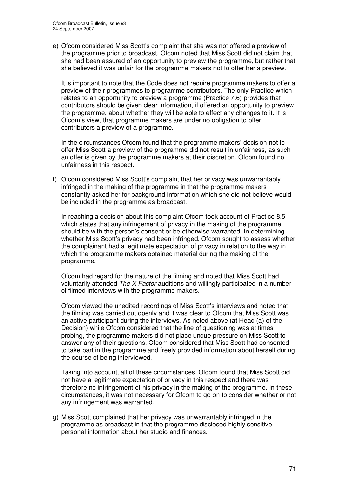e) Ofcom considered Miss Scott's complaint that she was not offered a preview of the programme prior to broadcast. Ofcom noted that Miss Scott did not claim that she had been assured of an opportunity to preview the programme, but rather that she believed it was unfair for the programme makers not to offer her a preview.

It is important to note that the Code does not require programme makers to offer a preview of their programmes to programme contributors. The only Practice which relates to an opportunity to preview a programme (Practice 7.6) provides that contributors should be given clear information, if offered an opportunity to preview the programme, about whether they will be able to effect any changes to it. It is Ofcom's view, that programme makers are under no obligation to offer contributors a preview of a programme.

In the circumstances Ofcom found that the programme makers' decision not to offer Miss Scott a preview of the programme did not result in unfairness, as such an offer is given by the programme makers at their discretion. Ofcom found no unfairness in this respect.

f) Ofcom considered Miss Scott's complaint that her privacy was unwarrantably infringed in the making of the programme in that the programme makers constantly asked her for background information which she did not believe would be included in the programme as broadcast.

In reaching a decision about this complaint Ofcom took account of Practice 8.5 which states that any infringement of privacy in the making of the programme should be with the person's consent or be otherwise warranted. In determining whether Miss Scott's privacy had been infringed, Ofcom sought to assess whether the complainant had a legitimate expectation of privacy in relation to the way in which the programme makers obtained material during the making of the programme.

Ofcom had regard for the nature of the filming and noted that Miss Scott had voluntarily attended *The X Factor* auditions and willingly participated in a number of filmed interviews with the programme makers.

Ofcom viewed the unedited recordings of Miss Scott's interviews and noted that the filming was carried out openly and it was clear to Ofcom that Miss Scott was an active participant during the interviews. As noted above (at Head (a) of the Decision) while Ofcom considered that the line of questioning was at times probing, the programme makers did not place undue pressure on Miss Scott to answer any of their questions. Ofcom considered that Miss Scott had consented to take part in the programme and freely provided information about herself during the course of being interviewed.

Taking into account, all of these circumstances, Ofcom found that Miss Scott did not have a legitimate expectation of privacy in this respect and there was therefore no infringement of his privacy in the making of the programme. In these circumstances, it was not necessary for Ofcom to go on to consider whether or not any infringement was warranted.

g) Miss Scott complained that her privacy was unwarrantably infringed in the programme as broadcast in that the programme disclosed highly sensitive, personal information about her studio and finances.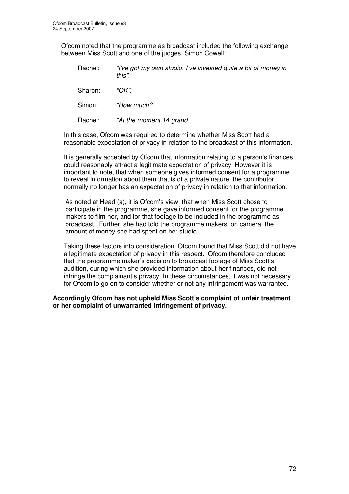Ofcom noted that the programme as broadcast included the following exchange between Miss Scott and one of the judges, Simon Cowell:

| Rachel: | "I've got my own studio, I've invested quite a bit of money in<br>this". |
|---------|--------------------------------------------------------------------------|
| Sharon: | "OK".                                                                    |
| Simon:  | "How much?"                                                              |
| Rachel: | "At the moment 14 grand".                                                |

In this case, Ofcom was required to determine whether Miss Scott had a reasonable expectation of privacy in relation to the broadcast of this information.

It is generally accepted by Ofcom that information relating to a person's finances could reasonably attract a legitimate expectation of privacy. However it is important to note, that when someone gives informed consent for a programme to reveal information about them that is of a private nature, the contributor normally no longer has an expectation of privacy in relation to that information.

As noted at Head (a), it is Ofcom's view, that when Miss Scott chose to participate in the programme, she gave informed consent for the programme makers to film her, and for that footage to be included in the programme as broadcast. Further, she had told the programme makers, on camera, the amount of money she had spent on her studio.

Taking these factors into consideration, Ofcom found that Miss Scott did not have a legitimate expectation of privacy in this respect. Ofcom therefore concluded that the programme maker's decision to broadcast footage of Miss Scott's audition, during which she provided information about her finances, did not infringe the complainant's privacy. In these circumstances, it was not necessary for Ofcom to go on to consider whether or not any infringement was warranted.

#### **Accordingly Ofcom has not upheld Miss Scott's complaint of unfair treatment or her complaint of unwarranted infringement of privacy.**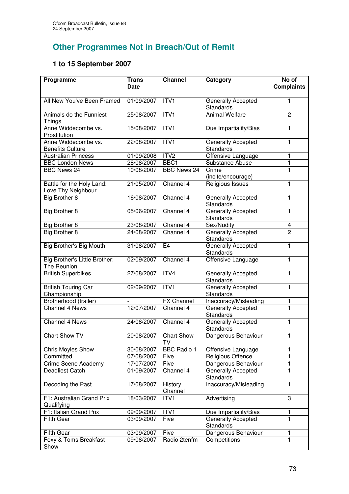## **Other Programmes Not in Breach/Out of Remit**

## **1 to 15 September 2007**

| Programme                                       | <b>Trans</b><br><b>Date</b> | <b>Channel</b>          | Category                                      | No of<br><b>Complaints</b> |
|-------------------------------------------------|-----------------------------|-------------------------|-----------------------------------------------|----------------------------|
| All New You've Been Framed                      | 01/09/2007                  | ITV <sub>1</sub>        | Generally Accepted<br><b>Standards</b>        | 1                          |
| Animals do the Funniest<br><b>Things</b>        | 25/08/2007                  | ITV <sub>1</sub>        | <b>Animal Welfare</b>                         | $\overline{2}$             |
| Anne Widdecombe vs.<br>Prostitution             | 15/08/2007                  | ITV <sub>1</sub>        | Due Impartiality/Bias                         | 1                          |
| Anne Widdecombe vs.<br><b>Benefits Culture</b>  | 22/08/2007                  | ITV1                    | Generally Accepted<br>Standards               | 1                          |
| <b>Australian Princess</b>                      | 01/09/2008                  | ITV2                    | Offensive Language                            | 1                          |
| <b>BBC London News</b>                          | 28/08/2007                  | BBC <sub>1</sub>        | Substance Abuse                               | 1                          |
| <b>BBC News 24</b>                              | 10/08/2007                  | <b>BBC News 24</b>      | Crime<br>(incite/encourage)                   | 1                          |
| Battle for the Holy Land:<br>Love Thy Neighbour | 21/05/2007                  | Channel 4               | Religious Issues                              | 1                          |
| <b>Big Brother 8</b>                            | 16/08/2007                  | Channel 4               | Generally Accepted<br>Standards               | 1                          |
| <b>Big Brother 8</b>                            | 05/06/2007                  | Channel 4               | <b>Generally Accepted</b><br><b>Standards</b> | 1                          |
| Big Brother 8                                   | 23/08/2007                  | Channel 4               | Sex/Nudity                                    | 4                          |
| <b>Big Brother 8</b>                            | 24/08/2007                  | Channel 4               | <b>Generally Accepted</b><br>Standards        | $\overline{2}$             |
| Big Brother's Big Mouth                         | 31/08/2007                  | E <sub>4</sub>          | <b>Generally Accepted</b><br><b>Standards</b> | 1                          |
| Big Brother's Little Brother:<br>The Reunion    | 02/09/2007                  | Channel 4               | Offensive Language                            | 1                          |
| <b>British Superbikes</b>                       | 27/08/2007                  | ITV4                    | Generally Accepted<br><b>Standards</b>        | 1                          |
| <b>British Touring Car</b><br>Championship      | 02/09/2007                  | ITV1                    | Generally Accepted<br>Standards               | 1                          |
| Brotherhood (trailer)                           |                             | <b>FX Channel</b>       | Inaccuracy/Misleading                         | 1                          |
| <b>Channel 4 News</b>                           | 12/07/2007                  | Channel 4               | Generally Accepted<br><b>Standards</b>        | $\overline{1}$             |
| <b>Channel 4 News</b>                           | 24/08/2007                  | Channel 4               | Generally Accepted<br><b>Standards</b>        | 1                          |
| Chart Show TV                                   | 20/08/2007                  | <b>Chart Show</b><br>TV | Dangerous Behaviour                           | 1                          |
| <b>Chris Moyles Show</b>                        | 30/08/2007                  | <b>BBC Radio 1</b>      | Offensive Language                            | 1                          |
| Committed                                       | 07/08/2007                  | Five                    | Religious Offence                             | 1                          |
| Crime Scene Academy                             | 17/07/2007                  | Five                    | Dangerous Behaviour                           | 1                          |
| <b>Deadliest Catch</b>                          | 01/09/2007                  | Channel 4               | Generally Accepted<br>Standards               | 1                          |
| Decoding the Past                               | 17/08/2007                  | History<br>Channel      | Inaccuracy/Misleading                         | 1                          |
| F1: Australian Grand Prix<br>Qualifying         | 18/03/2007                  | ITV1                    | Advertising                                   | 3                          |
| F1: Italian Grand Prix                          | 09/09/2007                  | ITV1                    | Due Impartiality/Bias                         | 1                          |
| <b>Fifth Gear</b>                               | 03/09/2007                  | Five                    | Generally Accepted<br>Standards               | 1                          |
| <b>Fifth Gear</b>                               | 03/09/2007                  | Five                    | Dangerous Behaviour                           | 1                          |
| Foxy & Toms Breakfast<br>Show                   | 09/08/2007                  | Radio 2tenfm            | Competitions                                  | 1                          |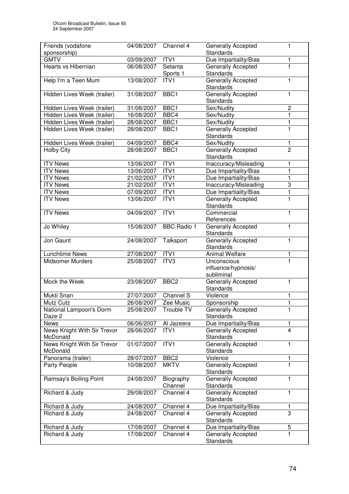| Friends (vodafone                       | 04/08/2007               | Channel 4            | <b>Generally Accepted</b>                   | 1                   |
|-----------------------------------------|--------------------------|----------------------|---------------------------------------------|---------------------|
| sponsorship)                            |                          |                      | <b>Standards</b>                            |                     |
| <b>GMTV</b>                             | 03/09/2007               | ITV1                 | Due Impartiality/Bias                       | 1                   |
| Hearts vs Hibernian                     | 06/08/2007               | Setanta<br>Sports 1  | Generally Accepted<br><b>Standards</b>      | 1                   |
| Help I'm a Teen Mum                     | 13/08/2007               | ITV1                 | Generally Accepted<br><b>Standards</b>      | 1                   |
| Hidden Lives Week (trailer)             | 31/08/2007               | BBC1                 | Generally Accepted<br><b>Standards</b>      | 1                   |
| Hidden Lives Week (trailer)             | 31/08/2007               | BBC1                 | Sex/Nudity                                  | $\overline{c}$      |
| Hidden Lives Week (trailer)             | 16/08/2007               | BBC4                 | Sex/Nudity                                  | 1                   |
| Hidden Lives Week (trailer)             | 28/08/2007               | BBC1                 | Sex/Nudity                                  | 1                   |
| Hidden Lives Week (trailer)             | 28/08/2007               | BBC1                 | Generally Accepted                          | $\mathbf{1}$        |
|                                         |                          |                      | <b>Standards</b>                            |                     |
| Hidden Lives Week (trailer)             | 04/09/2007               | BBC4                 | Sex/Nudity                                  | 1                   |
| <b>Holby City</b>                       | 28/08/2007               | BBC1                 | Generally Accepted<br><b>Standards</b>      | $\overline{2}$      |
| <b>ITV News</b>                         | 13/06/2007               | ITV1                 | Inaccuracy/Misleading                       | 1                   |
| <b>ITV News</b>                         | 13/06/2007               | ITVI                 | Due Impartiality/Bias                       | 1                   |
| <b>ITV News</b>                         | 21/02/2007               | ITV1                 | Due Impartiality/Bias                       | 1                   |
| <b>ITV News</b>                         | 21/02/2007               | ITV1                 | Inaccuracy/Misleading                       | 3                   |
| <b>ITV News</b>                         | 07/09/2007               | ITVI                 | Due Impartiality/Bias                       | 1                   |
| <b>ITV News</b>                         | 13/06/2007               | ITV1                 | Generally Accepted<br><b>Standards</b>      | $\mathbf{1}$        |
| <b>ITV News</b>                         | 04/09/2007               | ITVI                 | Commercial<br>References                    | 1                   |
| Jo Whiley                               | 15/08/2007               | <b>BBC Radio 1</b>   | Generally Accepted<br>Standards             | $\mathbf{1}$        |
| Jon Gaunt                               | 24/08/2007               | Talksport            | Generally Accepted<br>Standards             | 1                   |
| Lunchtime News                          | 27/08/2007               | ITV1                 | <b>Animal Welfare</b>                       | 1                   |
| <b>Midsomer Murders</b>                 | 25/08/2007               | ITV3                 | Unconscious                                 | 1                   |
|                                         |                          |                      | influence/hypnosis/<br>subliminal           |                     |
| Mock the Week                           | 23/08/2007               | BBC <sub>2</sub>     | Generally Accepted<br><b>Standards</b>      | 1                   |
| Mukti Snan                              | 27/07/2007               | Channel S            | Violence                                    | 1                   |
| Mutz Cutz                               | 26/08/2007               | Zee Music            | Sponsorship                                 | 1                   |
| National Lampoon's Dorm                 | 25/08/2007               | Trouble TV           | <b>Generally Accepted</b>                   | 1                   |
| Daze 2<br><b>News</b>                   |                          |                      | <b>Standards</b>                            |                     |
| News Knight With Sir Trevor             | 06/06/2007<br>28/06/2007 | Al Jazeera<br>ITV1   | Due Impartiality/Bias<br>Generally Accepted | 1<br>$\overline{4}$ |
| McDonald                                |                          |                      | Standards                                   |                     |
| News Knight With Sir Trevor<br>McDonald | 01/07/2007               | ITV1                 | Generally Accepted<br><b>Standards</b>      | 1                   |
| Panorama (trailer)                      | 28/07/2007               | BBC <sub>2</sub>     | Violence                                    | 1                   |
| Party People                            | 10/08/2007               | <b>MKTV</b>          | Generally Accepted<br>Standards             | $\mathbf{1}$        |
| Ramsay's Boiling Point                  | 24/08/2007               | Biography<br>Channel | Generally Accepted<br>Standards             | 1                   |
| Richard & Judy                          | 29/08/2007               | Channel 4            | Generally Accepted<br>Standards             | 1                   |
| Richard & Judy                          | 24/08/2007               | Channel 4            | Due Impartiality/Bias                       | 1                   |
| Richard & Judy                          | 24/08/2007               | Channel 4            | <b>Generally Accepted</b><br>Standards      | 3                   |
| Richard & Judy                          | 17/08/2007               | Channel 4            | Due Impartiality/Bias                       | 5                   |
| Richard & Judy                          | 17/08/2007               | Channel 4            | <b>Generally Accepted</b><br>Standards      | 1                   |